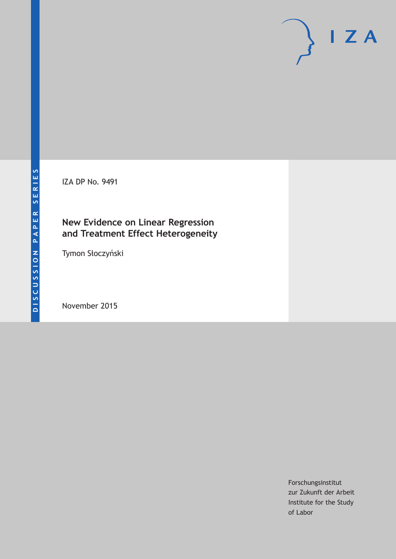IZA DP No. 9491

## **New Evidence on Linear Regression and Treatment Effect Heterogeneity**

Tymon Słoczyński

November 2015

Forschungsinstitut zur Zukunft der Arbeit Institute for the Study of Labor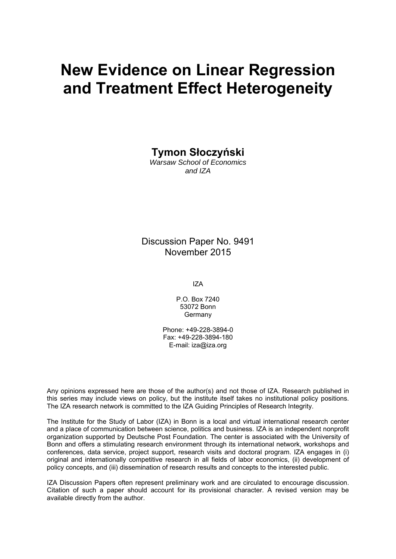# **New Evidence on Linear Regression and Treatment Effect Heterogeneity**

**Tymon Słoczyński** 

*Warsaw School of Economics and IZA* 

Discussion Paper No. 9491 November 2015

IZA

P.O. Box 7240 53072 Bonn Germany

Phone: +49-228-3894-0 Fax: +49-228-3894-180 E-mail: iza@iza.org

Any opinions expressed here are those of the author(s) and not those of IZA. Research published in this series may include views on policy, but the institute itself takes no institutional policy positions. The IZA research network is committed to the IZA Guiding Principles of Research Integrity.

The Institute for the Study of Labor (IZA) in Bonn is a local and virtual international research center and a place of communication between science, politics and business. IZA is an independent nonprofit organization supported by Deutsche Post Foundation. The center is associated with the University of Bonn and offers a stimulating research environment through its international network, workshops and conferences, data service, project support, research visits and doctoral program. IZA engages in (i) original and internationally competitive research in all fields of labor economics, (ii) development of policy concepts, and (iii) dissemination of research results and concepts to the interested public.

IZA Discussion Papers often represent preliminary work and are circulated to encourage discussion. Citation of such a paper should account for its provisional character. A revised version may be available directly from the author.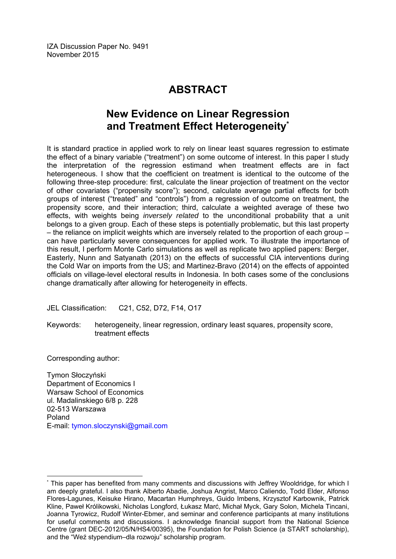IZA Discussion Paper No. 9491 November 2015

# **ABSTRACT**

## **New Evidence on Linear Regression and Treatment Effect Heterogeneity\***

It is standard practice in applied work to rely on linear least squares regression to estimate the effect of a binary variable ("treatment") on some outcome of interest. In this paper I study the interpretation of the regression estimand when treatment effects are in fact heterogeneous. I show that the coefficient on treatment is identical to the outcome of the following three-step procedure: first, calculate the linear projection of treatment on the vector of other covariates ("propensity score"); second, calculate average partial effects for both groups of interest ("treated" and "controls") from a regression of outcome on treatment, the propensity score, and their interaction; third, calculate a weighted average of these two effects, with weights being *inversely related* to the unconditional probability that a unit belongs to a given group. Each of these steps is potentially problematic, but this last property – the reliance on implicit weights which are inversely related to the proportion of each group – can have particularly severe consequences for applied work. To illustrate the importance of this result, I perform Monte Carlo simulations as well as replicate two applied papers: Berger, Easterly, Nunn and Satyanath (2013) on the effects of successful CIA interventions during the Cold War on imports from the US; and Martinez-Bravo (2014) on the effects of appointed officials on village-level electoral results in Indonesia. In both cases some of the conclusions change dramatically after allowing for heterogeneity in effects.

JEL Classification: C21, C52, D72, F14, O17

Keywords: heterogeneity, linear regression, ordinary least squares, propensity score, treatment effects

Corresponding author:

 $\overline{a}$ 

Tymon Słoczyński Department of Economics I Warsaw School of Economics ul. Madalinskiego 6/8 p. 228 02-513 Warszawa Poland E-mail: tymon.sloczynski@gmail.com

<sup>\*</sup> This paper has benefited from many comments and discussions with Jeffrey Wooldridge, for which I am deeply grateful. I also thank Alberto Abadie, Joshua Angrist, Marco Caliendo, Todd Elder, Alfonso Flores-Lagunes, Keisuke Hirano, Macartan Humphreys, Guido Imbens, Krzysztof Karbownik, Patrick Kline, Paweł Królikowski, Nicholas Longford, Łukasz Marć, Michał Myck, Gary Solon, Michela Tincani, Joanna Tyrowicz, Rudolf Winter-Ebmer, and seminar and conference participants at many institutions for useful comments and discussions. I acknowledge financial support from the National Science Centre (grant DEC-2012/05/N/HS4/00395), the Foundation for Polish Science (a START scholarship), and the "Weź stypendium–dla rozwoju" scholarship program.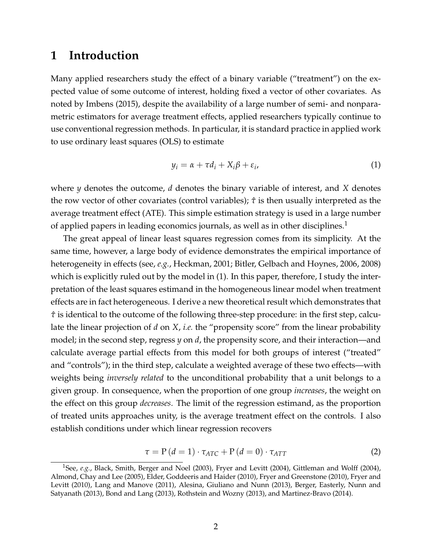#### **1 Introduction**

Many applied researchers study the effect of a binary variable ("treatment") on the expected value of some outcome of interest, holding fixed a vector of other covariates. As noted by [Imbens](#page-41-0) [\(2015\)](#page-41-0), despite the availability of a large number of semi- and nonparametric estimators for average treatment effects, applied researchers typically continue to use conventional regression methods. In particular, it is standard practice in applied work to use ordinary least squares (OLS) to estimate

<span id="page-3-1"></span>
$$
y_i = \alpha + \tau d_i + X_i \beta + \varepsilon_i, \tag{1}
$$

where *y* denotes the outcome, *d* denotes the binary variable of interest, and *X* denotes the row vector of other covariates (control variables); *τ*ˆ is then usually interpreted as the average treatment effect (ATE). This simple estimation strategy is used in a large number of applied papers in leading economics journals, as well as in other disciplines.<sup>[1](#page-3-0)</sup>

The great appeal of linear least squares regression comes from its simplicity. At the same time, however, a large body of evidence demonstrates the empirical importance of heterogeneity in effects (see, *e.g.*, [Heckman, 2001;](#page-41-1) [Bitler, Gelbach and Hoynes, 2006,](#page-39-0) [2008\)](#page-39-1) which is explicitly ruled out by the model in  $(1)$ . In this paper, therefore, I study the interpretation of the least squares estimand in the homogeneous linear model when treatment effects are in fact heterogeneous. I derive a new theoretical result which demonstrates that  $\hat{\tau}$  is identical to the outcome of the following three-step procedure: in the first step, calculate the linear projection of *d* on *X*, *i.e.* the "propensity score" from the linear probability model; in the second step, regress *y* on *d*, the propensity score, and their interaction—and calculate average partial effects from this model for both groups of interest ("treated" and "controls"); in the third step, calculate a weighted average of these two effects—with weights being *inversely related* to the unconditional probability that a unit belongs to a given group. In consequence, when the proportion of one group *increases*, the weight on the effect on this group *decreases*. The limit of the regression estimand, as the proportion of treated units approaches unity, is the average treatment effect on the controls. I also establish conditions under which linear regression recovers

<span id="page-3-2"></span>
$$
\tau = P(d = 1) \cdot \tau_{ATC} + P(d = 0) \cdot \tau_{ATT}
$$
\n(2)

<span id="page-3-0"></span><sup>1</sup>See, *e.g.*, [Black, Smith, Berger and Noel](#page-39-2) [\(2003\)](#page-39-2), [Fryer and Levitt](#page-41-2) [\(2004\)](#page-41-2), [Gittleman and Wolff](#page-41-3) [\(2004\)](#page-41-3), [Almond, Chay and Lee](#page-39-3) [\(2005\)](#page-39-3), [Elder, Goddeeris and Haider](#page-40-0) [\(2010\)](#page-40-0), [Fryer and Greenstone](#page-40-1) [\(2010\)](#page-40-1), [Fryer and](#page-41-4) [Levitt](#page-41-4) [\(2010\)](#page-41-4), [Lang and Manove](#page-42-0) [\(2011\)](#page-42-0), [Alesina, Giuliano and Nunn](#page-39-4) [\(2013\)](#page-39-4), [Berger, Easterly, Nunn and](#page-39-5) [Satyanath](#page-39-5) [\(2013\)](#page-39-5), [Bond and Lang](#page-40-2) [\(2013\)](#page-40-2), [Rothstein and Wozny](#page-42-1) [\(2013\)](#page-42-1), and [Martinez-Bravo](#page-42-2) [\(2014\)](#page-42-2).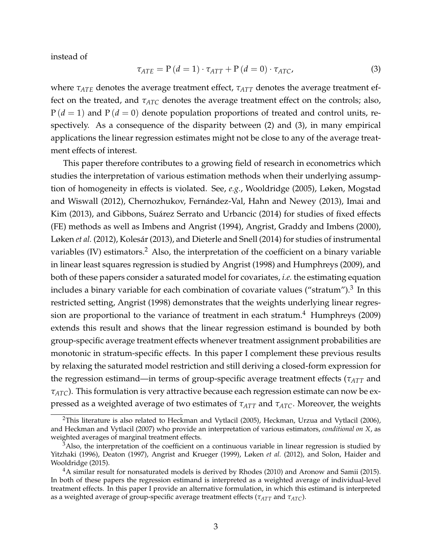instead of

<span id="page-4-0"></span>
$$
\tau_{ATE} = P(d = 1) \cdot \tau_{ATT} + P(d = 0) \cdot \tau_{ATC}, \tag{3}
$$

where  $\tau_{ATE}$  denotes the average treatment effect,  $\tau_{ATT}$  denotes the average treatment effect on the treated, and  $\tau_{ATC}$  denotes the average treatment effect on the controls; also,  $P(d = 1)$  and  $P(d = 0)$  denote population proportions of treated and control units, respectively. As a consequence of the disparity between [\(2\)](#page-3-2) and [\(3\)](#page-4-0), in many empirical applications the linear regression estimates might not be close to any of the average treatment effects of interest.

This paper therefore contributes to a growing field of research in econometrics which studies the interpretation of various estimation methods when their underlying assumption of homogeneity in effects is violated. See, *e.g.*, [Wooldridge](#page-43-0) [\(2005\)](#page-43-0), [Løken, Mogstad](#page-42-3) [and Wiswall](#page-42-3) [\(2012\)](#page-42-3), Chernozhukov, Fernández-Val, Hahn and Newey [\(2013\)](#page-40-3), [Imai and](#page-41-5) [Kim](#page-41-5) [\(2013\)](#page-41-5), and Gibbons, Suárez Serrato and Urbancic [\(2014\)](#page-41-6) for studies of fixed effects (FE) methods as well as [Imbens and Angrist](#page-41-7) [\(1994\)](#page-41-7), [Angrist, Graddy and Imbens](#page-39-6) [\(2000\)](#page-39-6), [Løken](#page-42-3) *et al.* [\(2012\)](#page-42-3), Kolesár [\(2013\)](#page-42-4), and [Dieterle and Snell](#page-40-4) [\(2014\)](#page-40-4) for studies of instrumental variables (IV) estimators.<sup>[2](#page-4-1)</sup> Also, the interpretation of the coefficient on a binary variable in linear least squares regression is studied by [Angrist](#page-39-7) [\(1998\)](#page-39-7) and [Humphreys](#page-41-8) [\(2009\)](#page-41-8), and both of these papers consider a saturated model for covariates, *i.e.* the estimating equation includes a binary variable for each combination of covariate values ("stratum"). $^3$  $^3$  In this restricted setting, [Angrist](#page-39-7) [\(1998\)](#page-39-7) demonstrates that the weights underlying linear regression are proportional to the variance of treatment in each stratum. $4$  [Humphreys](#page-41-8) [\(2009\)](#page-41-8) extends this result and shows that the linear regression estimand is bounded by both group-specific average treatment effects whenever treatment assignment probabilities are monotonic in stratum-specific effects. In this paper I complement these previous results by relaxing the saturated model restriction and still deriving a closed-form expression for the regression estimand—in terms of group-specific average treatment effects (*τATT* and *τATC*). This formulation is very attractive because each regression estimate can now be expressed as a weighted average of two estimates of *τATT* and *τATC*. Moreover, the weights

<span id="page-4-1"></span><sup>&</sup>lt;sup>2</sup>This literature is also related to [Heckman and Vytlacil](#page-41-9) [\(2005\)](#page-41-9), [Heckman, Urzua and Vytlacil](#page-41-10) [\(2006\)](#page-41-10), and [Heckman and Vytlacil](#page-41-11) [\(2007\)](#page-41-11) who provide an interpretation of various estimators, *conditional on X*, as weighted averages of marginal treatment effects.

<span id="page-4-2"></span> $3A$ lso, the interpretation of the coefficient on a continuous variable in linear regression is studied by [Yitzhaki](#page-43-1) [\(1996\)](#page-43-1), [Deaton](#page-40-5) [\(1997\)](#page-40-5), [Angrist and Krueger](#page-39-8) [\(1999\)](#page-39-8), [Løken](#page-42-3) *et al.* [\(2012\)](#page-42-3), and [Solon, Haider and](#page-43-2) [Wooldridge](#page-43-2) [\(2015\)](#page-43-2).

<span id="page-4-3"></span><sup>&</sup>lt;sup>4</sup>A similar result for nonsaturated models is derived by [Rhodes](#page-42-5) [\(2010\)](#page-42-5) and [Aronow and Samii](#page-39-9) [\(2015\)](#page-39-9). In both of these papers the regression estimand is interpreted as a weighted average of individual-level treatment effects. In this paper I provide an alternative formulation, in which this estimand is interpreted as a weighted average of group-specific average treatment effects (*τATT* and *τATC*).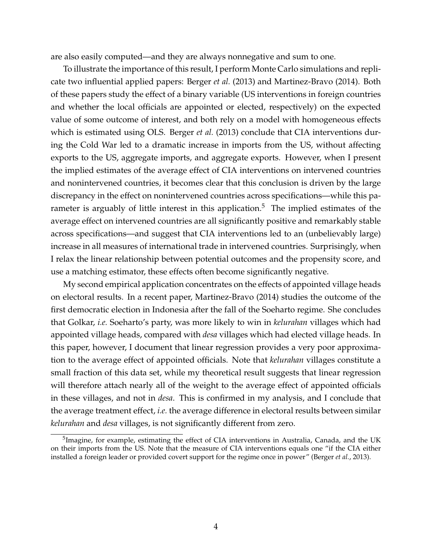are also easily computed—and they are always nonnegative and sum to one.

To illustrate the importance of this result, I perform Monte Carlo simulations and replicate two influential applied papers: [Berger](#page-39-5) *et al.* [\(2013\)](#page-39-5) and [Martinez-Bravo](#page-42-2) [\(2014\)](#page-42-2). Both of these papers study the effect of a binary variable (US interventions in foreign countries and whether the local officials are appointed or elected, respectively) on the expected value of some outcome of interest, and both rely on a model with homogeneous effects which is estimated using OLS. [Berger](#page-39-5) *et al.* [\(2013\)](#page-39-5) conclude that CIA interventions during the Cold War led to a dramatic increase in imports from the US, without affecting exports to the US, aggregate imports, and aggregate exports. However, when I present the implied estimates of the average effect of CIA interventions on intervened countries and nonintervened countries, it becomes clear that this conclusion is driven by the large discrepancy in the effect on nonintervened countries across specifications—while this pa-rameter is arguably of little interest in this application.<sup>[5](#page-5-0)</sup> The implied estimates of the average effect on intervened countries are all significantly positive and remarkably stable across specifications—and suggest that CIA interventions led to an (unbelievably large) increase in all measures of international trade in intervened countries. Surprisingly, when I relax the linear relationship between potential outcomes and the propensity score, and use a matching estimator, these effects often become significantly negative.

My second empirical application concentrates on the effects of appointed village heads on electoral results. In a recent paper, [Martinez-Bravo](#page-42-2) [\(2014\)](#page-42-2) studies the outcome of the first democratic election in Indonesia after the fall of the Soeharto regime. She concludes that Golkar, *i.e.* Soeharto's party, was more likely to win in *kelurahan* villages which had appointed village heads, compared with *desa* villages which had elected village heads. In this paper, however, I document that linear regression provides a very poor approximation to the average effect of appointed officials. Note that *kelurahan* villages constitute a small fraction of this data set, while my theoretical result suggests that linear regression will therefore attach nearly all of the weight to the average effect of appointed officials in these villages, and not in *desa*. This is confirmed in my analysis, and I conclude that the average treatment effect, *i.e.* the average difference in electoral results between similar *kelurahan* and *desa* villages, is not significantly different from zero.

<span id="page-5-0"></span><sup>&</sup>lt;sup>5</sup>Imagine, for example, estimating the effect of CIA interventions in Australia, Canada, and the UK on their imports from the US. Note that the measure of CIA interventions equals one "if the CIA either installed a foreign leader or provided covert support for the regime once in power" [\(Berger](#page-39-5) *et al.*, [2013\)](#page-39-5).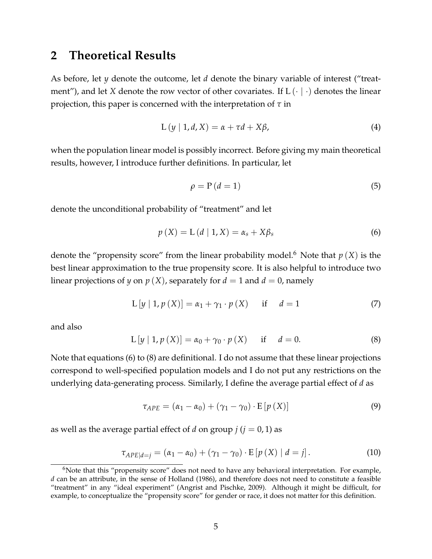#### <span id="page-6-6"></span>**2 Theoretical Results**

As before, let *y* denote the outcome, let *d* denote the binary variable of interest ("treatment"), and let *X* denote the row vector of other covariates. If  $L(\cdot | \cdot)$  denotes the linear projection, this paper is concerned with the interpretation of *τ* in

<span id="page-6-3"></span>
$$
L(y | 1, d, X) = \alpha + \tau d + X\beta,
$$
\n<sup>(4)</sup>

when the population linear model is possibly incorrect. Before giving my main theoretical results, however, I introduce further definitions. In particular, let

$$
\rho = P(d = 1) \tag{5}
$$

denote the unconditional probability of "treatment" and let

<span id="page-6-1"></span>
$$
p(X) = L(d | 1, X) = \alpha_s + X\beta_s \tag{6}
$$

denote the "propensity score" from the linear probability model.<sup>[6](#page-6-0)</sup> Note that  $p(X)$  is the best linear approximation to the true propensity score. It is also helpful to introduce two linear projections of *y* on  $p(X)$ , separately for  $d = 1$  and  $d = 0$ , namely

<span id="page-6-7"></span>
$$
L[y | 1, p(X)] = \alpha_1 + \gamma_1 \cdot p(X)
$$
 if  $d = 1$  (7)

and also

<span id="page-6-2"></span>
$$
L [y | 1, p (X)] = \alpha_0 + \gamma_0 \cdot p (X) \quad \text{if} \quad d = 0.
$$
 (8)

Note that equations [\(6\)](#page-6-1) to [\(8\)](#page-6-2) are definitional. I do not assume that these linear projections correspond to well-specified population models and I do not put any restrictions on the underlying data-generating process. Similarly, I define the average partial effect of *d* as

<span id="page-6-5"></span>
$$
\tau_{APE} = (\alpha_1 - \alpha_0) + (\gamma_1 - \gamma_0) \cdot E[p(X)] \tag{9}
$$

as well as the average partial effect of *d* on group  $j$  ( $j = 0, 1$ ) as

<span id="page-6-4"></span>
$$
\tau_{APE|d=j} = (\alpha_1 - \alpha_0) + (\gamma_1 - \gamma_0) \cdot E[p(X) | d = j]. \tag{10}
$$

<span id="page-6-0"></span> $6N$ ote that this "propensity score" does not need to have any behavioral interpretation. For example, *d* can be an attribute, in the sense of [Holland](#page-41-12) [\(1986\)](#page-41-12), and therefore does not need to constitute a feasible "treatment" in any "ideal experiment" [\(Angrist and Pischke, 2009\)](#page-39-10). Although it might be difficult, for example, to conceptualize the "propensity score" for gender or race, it does not matter for this definition.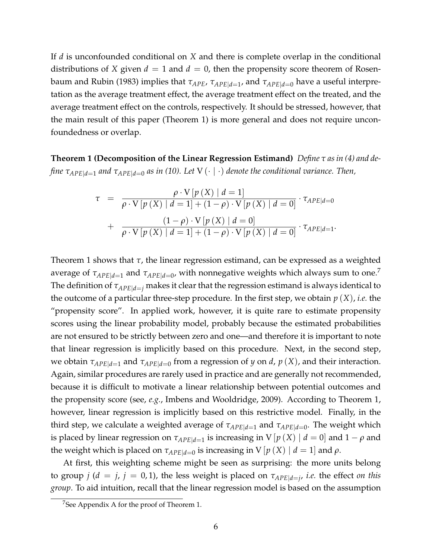If *d* is unconfounded conditional on *X* and there is complete overlap in the conditional distributions of *X* given  $d = 1$  and  $d = 0$ , then the propensity score theorem of [Rosen](#page-42-6)[baum and Rubin](#page-42-6) [\(1983\)](#page-42-6) implies that *τAPE*, *τAPE*|*d*=<sup>1</sup> , and *τAPE*|*d*=<sup>0</sup> have a useful interpretation as the average treatment effect, the average treatment effect on the treated, and the average treatment effect on the controls, respectively. It should be stressed, however, that the main result of this paper (Theorem [1\)](#page-7-0) is more general and does not require unconfoundedness or overlap.

<span id="page-7-0"></span>**Theorem 1 (Decomposition of the Linear Regression Estimand)** *Define τ as in [\(4\)](#page-6-3) and define τAPE*|*d*=<sup>1</sup> *and τAPE*|*d*=<sup>0</sup> *as in [\(10\)](#page-6-4). Let* V (· | ·) *denote the conditional variance. Then,*

$$
\tau = \frac{\rho \cdot V[p(X) | d = 1]}{\rho \cdot V[p(X) | d = 1] + (1 - \rho) \cdot V[p(X) | d = 0]} \cdot \tau_{APE|d = 0}
$$

$$
+ \frac{(1 - \rho) \cdot V[p(X) | d = 0]}{\rho \cdot V[p(X) | d = 1] + (1 - \rho) \cdot V[p(X) | d = 0]} \cdot \tau_{APE|d = 1}.
$$

Theorem [1](#page-7-0) shows that *τ*, the linear regression estimand, can be expressed as a weighted average of  $\tau_{APE|d=1}$  and  $\tau_{APE|d=0}$ , with nonnegative weights which always sum to one.<sup>[7](#page-7-1)</sup> The definition of  $\tau_{APE|d=j}$  makes it clear that the regression estimand is always identical to the outcome of a particular three-step procedure. In the first step, we obtain *p* (*X*), *i.e.* the "propensity score". In applied work, however, it is quite rare to estimate propensity scores using the linear probability model, probably because the estimated probabilities are not ensured to be strictly between zero and one—and therefore it is important to note that linear regression is implicitly based on this procedure. Next, in the second step, we obtain *τAPE*|*d*=<sup>1</sup> and *τAPE*|*d*=<sup>0</sup> from a regression of *y* on *d*, *p* (*X*), and their interaction. Again, similar procedures are rarely used in practice and are generally not recommended, because it is difficult to motivate a linear relationship between potential outcomes and the propensity score (see, *e.g.*, [Imbens and Wooldridge, 2009\)](#page-42-7). According to Theorem [1,](#page-7-0) however, linear regression is implicitly based on this restrictive model. Finally, in the third step, we calculate a weighted average of *τAPE*|*d*=<sup>1</sup> and *τAPE*|*d*=<sup>0</sup> . The weight which is placed by linear regression on  $\tau_{APE|d=1}$  is increasing in V  $[p\left(X\right)\mid d=0]$  and  $1-\rho$  and the weight which is placed on  $\tau_{APE|d=0}$  is increasing in V  $[p(X) | d = 1]$  and  $\rho$ .

At first, this weighting scheme might be seen as surprising: the more units belong to group  $j$  ( $d = j$ ,  $j = 0, 1$ ), the less weight is placed on  $\tau_{APE|d=j}$ , *i.e.* the effect *on this group*. To aid intuition, recall that the linear regression model is based on the assumption

<span id="page-7-1"></span><sup>7</sup>See Appendix [A](#page-27-0) for the proof of Theorem [1.](#page-7-0)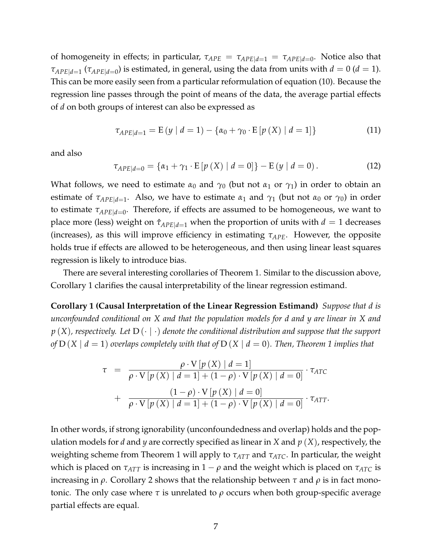of homogeneity in effects; in particular,  $\tau_{APE} = \tau_{APE|d=1} = \tau_{APE|d=0}$ . Notice also that *τAPE*|*d*=<sup>1</sup> (*τAPE*|*d*=<sup>0</sup> ) is estimated, in general, using the data from units with *d* = 0 (*d* = 1). This can be more easily seen from a particular reformulation of equation [\(10\)](#page-6-4). Because the regression line passes through the point of means of the data, the average partial effects of *d* on both groups of interest can also be expressed as

$$
\tau_{APE|d=1} = E(y \mid d=1) - \{ \alpha_0 + \gamma_0 \cdot E[p(X) \mid d=1] \}
$$
 (11)

and also

$$
\tau_{APE|d=0} = \{\alpha_1 + \gamma_1 \cdot E[p(X) | d = 0]\} - E(y | d = 0).
$$
 (12)

What follows, we need to estimate  $\alpha_0$  and  $\gamma_0$  (but not  $\alpha_1$  or  $\gamma_1$ ) in order to obtain an estimate of  $\tau_{APE|d=1}$ . Also, we have to estimate  $\alpha_1$  and  $\gamma_1$  (but not  $\alpha_0$  or  $\gamma_0$ ) in order to estimate *τAPE*|*d*=<sup>0</sup> . Therefore, if effects are assumed to be homogeneous, we want to place more (less) weight on  $\hat{\tau}_{APEld=1}$  when the proportion of units with  $d=1$  decreases (increases), as this will improve efficiency in estimating *τAPE*. However, the opposite holds true if effects are allowed to be heterogeneous, and then using linear least squares regression is likely to introduce bias.

There are several interesting corollaries of Theorem [1.](#page-7-0) Similar to the discussion above, Corollary [1](#page-8-0) clarifies the causal interpretability of the linear regression estimand.

<span id="page-8-0"></span>**Corollary 1 (Causal Interpretation of the Linear Regression Estimand)** *Suppose that d is unconfounded conditional on X and that the population models for d and y are linear in X and p* (*X*)*, respectively. Let* D (· | ·) *denote the conditional distribution and suppose that the support of*  $D(X | d = 1)$  $D(X | d = 1)$  $D(X | d = 1)$  *overlaps completely with that of*  $D(X | d = 0)$ *. Then, Theorem* 1 *implies that* 

$$
\tau = \frac{\rho \cdot V[p(X) | d = 1]}{\rho \cdot V[p(X) | d = 1] + (1 - \rho) \cdot V[p(X) | d = 0]} \cdot \tau_{ATC}
$$

$$
+ \frac{(1 - \rho) \cdot V[p(X) | d = 0]}{\rho \cdot V[p(X) | d = 1] + (1 - \rho) \cdot V[p(X) | d = 0]} \cdot \tau_{ATT}.
$$

In other words, if strong ignorability (unconfoundedness and overlap) holds and the population models for *d* and *y* are correctly specified as linear in *X* and *p* (*X*), respectively, the weighting scheme from Theorem [1](#page-7-0) will apply to *τATT* and *τATC*. In particular, the weight which is placed on  $\tau_{ATT}$  is increasing in  $1 - \rho$  and the weight which is placed on  $\tau_{ATC}$  is increasing in *ρ*. Corollary [2](#page-9-0) shows that the relationship between *τ* and *ρ* is in fact monotonic. The only case where  $τ$  is unrelated to  $ρ$  occurs when both group-specific average partial effects are equal.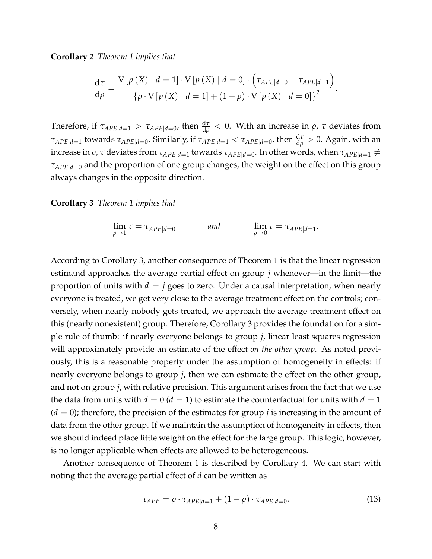<span id="page-9-0"></span>**Corollary 2** *Theorem [1](#page-7-0) implies that*

$$
\frac{d\tau}{d\rho} = \frac{V\left[p\left(X\right) \mid d=1\right] \cdot V\left[p\left(X\right) \mid d=0\right] \cdot \left(\tau_{APE|d=0} - \tau_{APE|d=1}\right)}{\left\{\rho \cdot V\left[p\left(X\right) \mid d=1\right] + \left(1-\rho\right) \cdot V\left[p\left(X\right) \mid d=0\right]\right\}^2}.
$$

Therefore, if  $\tau_{APE|d=1} > \tau_{APE|d=0}$ , then  $\frac{d\tau}{d\rho} < 0$ . With an increase in  $\rho$ ,  $\tau$  deviates from *τ*<sub>*APE|d*=1</sub> towards *τ<sub>APE|d=0</sub>*. Similarly, if  $\tau_{APE|d=1} < \tau_{APE|d=0}$ , then  $\frac{d\tau}{d\rho} > 0$ . Again, with an increase in *ρ, τ* deviates from  $\tau_{APE|d=1}$  towards  $\tau_{APE|d=0}.$  In other words, when  $\tau_{APE|d=1}\neq0$ *τAPE*|*d*=<sup>0</sup> and the proportion of one group changes, the weight on the effect on this group always changes in the opposite direction.

#### <span id="page-9-1"></span>**Corollary 3** *Theorem [1](#page-7-0) implies that*

$$
\lim_{\rho \to 1} \tau = \tau_{APE|d=0} \qquad \text{and} \qquad \lim_{\rho \to 0} \tau = \tau_{APE|d=1}.
$$

According to Corollary [3,](#page-9-1) another consequence of Theorem [1](#page-7-0) is that the linear regression estimand approaches the average partial effect on group *j* whenever—in the limit—the proportion of units with  $d = j$  goes to zero. Under a causal interpretation, when nearly everyone is treated, we get very close to the average treatment effect on the controls; conversely, when nearly nobody gets treated, we approach the average treatment effect on this (nearly nonexistent) group. Therefore, Corollary [3](#page-9-1) provides the foundation for a simple rule of thumb: if nearly everyone belongs to group *j*, linear least squares regression will approximately provide an estimate of the effect *on the other group*. As noted previously, this is a reasonable property under the assumption of homogeneity in effects: if nearly everyone belongs to group *j*, then we can estimate the effect on the other group, and not on group *j*, with relative precision. This argument arises from the fact that we use the data from units with  $d = 0$  ( $d = 1$ ) to estimate the counterfactual for units with  $d = 1$  $(d = 0)$ ; therefore, the precision of the estimates for group *j* is increasing in the amount of data from the other group. If we maintain the assumption of homogeneity in effects, then we should indeed place little weight on the effect for the large group. This logic, however, is no longer applicable when effects are allowed to be heterogeneous.

Another consequence of Theorem [1](#page-7-0) is described by Corollary [4.](#page-10-0) We can start with noting that the average partial effect of *d* can be written as

$$
\tau_{APE} = \rho \cdot \tau_{APE|d=1} + (1 - \rho) \cdot \tau_{APE|d=0}.\tag{13}
$$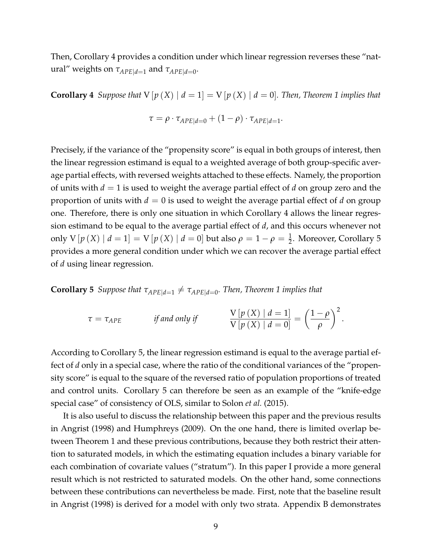Then, Corollary [4](#page-10-0) provides a condition under which linear regression reverses these "natural" weights on *τAPE*|*d*=<sup>1</sup> and *τAPE*|*d*=<sup>0</sup> .

<span id="page-10-0"></span>**Corollary 4** *Suppose that*  $V[p(X) | d = 1] = V[p(X) | d = 0]$  $V[p(X) | d = 1] = V[p(X) | d = 0]$  $V[p(X) | d = 1] = V[p(X) | d = 0]$ *. Then, Theorem* 1 *implies that* 

$$
\tau = \rho \cdot \tau_{APE|d=0} + (1 - \rho) \cdot \tau_{APE|d=1}.
$$

Precisely, if the variance of the "propensity score" is equal in both groups of interest, then the linear regression estimand is equal to a weighted average of both group-specific average partial effects, with reversed weights attached to these effects. Namely, the proportion of units with *d* = 1 is used to weight the average partial effect of *d* on group zero and the proportion of units with  $d = 0$  is used to weight the average partial effect of  $d$  on group one. Therefore, there is only one situation in which Corollary [4](#page-10-0) allows the linear regression estimand to be equal to the average partial effect of *d*, and this occurs whenever not only  $V[p(X) | d = 1] = V[p(X) | d = 0]$  but also  $\rho = 1 - \rho = \frac{1}{2}$ . Moreover, Corollary [5](#page-10-1) provides a more general condition under which we can recover the average partial effect of *d* using linear regression.

<span id="page-10-1"></span>**Corollary 5** *Suppose that*  $\tau_{APE|d=1} \neq \tau_{APE|d=0}$ *. Then, Theorem* [1](#page-7-0) *implies that* 

$$
\tau = \tau_{APE} \qquad \text{if and only if} \qquad \frac{V\left[p\left(X\right) \mid d=1\right]}{V\left[p\left(X\right) \mid d=0\right]} = \left(\frac{1-\rho}{\rho}\right)^2.
$$

According to Corollary [5,](#page-10-1) the linear regression estimand is equal to the average partial effect of *d* only in a special case, where the ratio of the conditional variances of the "propensity score" is equal to the square of the reversed ratio of population proportions of treated and control units. Corollary [5](#page-10-1) can therefore be seen as an example of the "knife-edge special case" of consistency of OLS, similar to [Solon](#page-43-2) *et al.* [\(2015\)](#page-43-2).

It is also useful to discuss the relationship between this paper and the previous results in [Angrist](#page-39-7) [\(1998\)](#page-39-7) and [Humphreys](#page-41-8) [\(2009\)](#page-41-8). On the one hand, there is limited overlap between Theorem [1](#page-7-0) and these previous contributions, because they both restrict their attention to saturated models, in which the estimating equation includes a binary variable for each combination of covariate values ("stratum"). In this paper I provide a more general result which is not restricted to saturated models. On the other hand, some connections between these contributions can nevertheless be made. First, note that the baseline result in [Angrist](#page-39-7) [\(1998\)](#page-39-7) is derived for a model with only two strata. Appendix [B](#page-29-0) demonstrates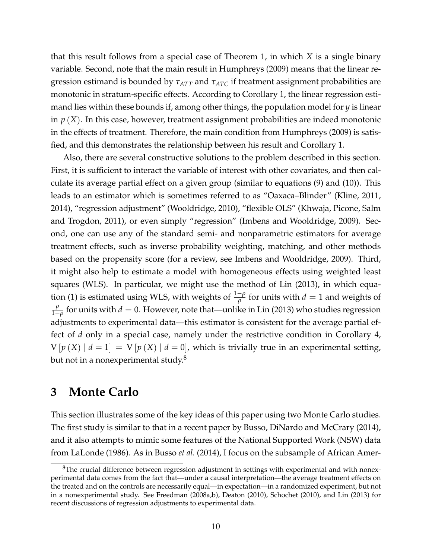that this result follows from a special case of Theorem [1,](#page-7-0) in which *X* is a single binary variable. Second, note that the main result in [Humphreys](#page-41-8) [\(2009\)](#page-41-8) means that the linear regression estimand is bounded by *τATT* and *τATC* if treatment assignment probabilities are monotonic in stratum-specific effects. According to Corollary [1,](#page-8-0) the linear regression estimand lies within these bounds if, among other things, the population model for *y* is linear in *p* (*X*). In this case, however, treatment assignment probabilities are indeed monotonic in the effects of treatment. Therefore, the main condition from [Humphreys](#page-41-8) [\(2009\)](#page-41-8) is satisfied, and this demonstrates the relationship between his result and Corollary [1.](#page-8-0)

Also, there are several constructive solutions to the problem described in this section. First, it is sufficient to interact the variable of interest with other covariates, and then calculate its average partial effect on a given group (similar to equations [\(9\)](#page-6-5) and [\(10\)](#page-6-4)). This leads to an estimator which is sometimes referred to as "Oaxaca–Blinder" [\(Kline, 2011,](#page-42-8) [2014\)](#page-42-9), "regression adjustment" [\(Wooldridge, 2010\)](#page-43-3), "flexible OLS" [\(Khwaja, Picone, Salm](#page-42-10) [and Trogdon, 2011\)](#page-42-10), or even simply "regression" [\(Imbens and Wooldridge, 2009\)](#page-42-7). Second, one can use any of the standard semi- and nonparametric estimators for average treatment effects, such as inverse probability weighting, matching, and other methods based on the propensity score (for a review, see [Imbens and Wooldridge, 2009\)](#page-42-7). Third, it might also help to estimate a model with homogeneous effects using weighted least squares (WLS). In particular, we might use the method of [Lin](#page-42-11) [\(2013\)](#page-42-11), in which equa-tion [\(1\)](#page-3-1) is estimated using WLS, with weights of  $\frac{1-\rho}{\rho}$  for units with  $d=1$  and weights of *ρ*  $\frac{\rho}{1-\rho}$  for units with  $d=0$ . However, note that—unlike in [Lin](#page-42-11) [\(2013\)](#page-42-11) who studies regression adjustments to experimental data—this estimator is consistent for the average partial effect of *d* only in a special case, namely under the restrictive condition in Corollary [4,](#page-10-0)  $V[p(X) | d = 1] = V[p(X) | d = 0]$ , which is trivially true in an experimental setting, but not in a nonexperimental study.<sup>[8](#page-11-0)</sup>

## <span id="page-11-1"></span>**3 Monte Carlo**

This section illustrates some of the key ideas of this paper using two Monte Carlo studies. The first study is similar to that in a recent paper by [Busso, DiNardo and McCrary](#page-40-6) [\(2014\)](#page-40-6), and it also attempts to mimic some features of the National Supported Work (NSW) data from [LaLonde](#page-42-12) [\(1986\)](#page-42-12). As in [Busso](#page-40-6) *et al.* [\(2014\)](#page-40-6), I focus on the subsample of African Amer-

<span id="page-11-0"></span> $8$ The crucial difference between regression adjustment in settings with experimental and with nonexperimental data comes from the fact that—under a causal interpretation—the average treatment effects on the treated and on the controls are necessarily equal—in expectation—in a randomized experiment, but not in a nonexperimental study. See [Freedman](#page-40-7) [\(2008a](#page-40-7)[,b\)](#page-40-8), [Deaton](#page-40-9) [\(2010\)](#page-40-9), [Schochet](#page-43-4) [\(2010\)](#page-43-4), and [Lin](#page-42-11) [\(2013\)](#page-42-11) for recent discussions of regression adjustments to experimental data.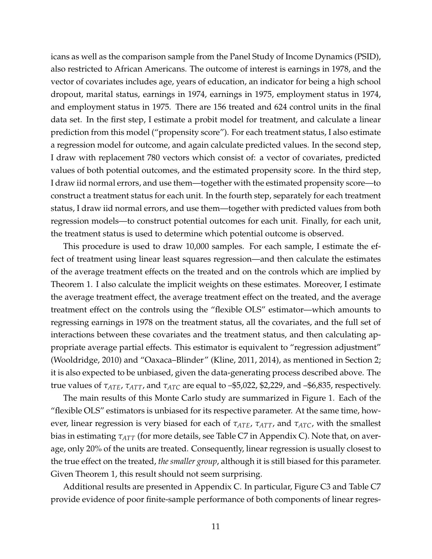icans as well as the comparison sample from the Panel Study of Income Dynamics (PSID), also restricted to African Americans. The outcome of interest is earnings in 1978, and the vector of covariates includes age, years of education, an indicator for being a high school dropout, marital status, earnings in 1974, earnings in 1975, employment status in 1974, and employment status in 1975. There are 156 treated and 624 control units in the final data set. In the first step, I estimate a probit model for treatment, and calculate a linear prediction from this model ("propensity score"). For each treatment status, I also estimate a regression model for outcome, and again calculate predicted values. In the second step, I draw with replacement 780 vectors which consist of: a vector of covariates, predicted values of both potential outcomes, and the estimated propensity score. In the third step, I draw iid normal errors, and use them—together with the estimated propensity score—to construct a treatment status for each unit. In the fourth step, separately for each treatment status, I draw iid normal errors, and use them—together with predicted values from both regression models—to construct potential outcomes for each unit. Finally, for each unit, the treatment status is used to determine which potential outcome is observed.

This procedure is used to draw 10,000 samples. For each sample, I estimate the effect of treatment using linear least squares regression—and then calculate the estimates of the average treatment effects on the treated and on the controls which are implied by Theorem [1.](#page-7-0) I also calculate the implicit weights on these estimates. Moreover, I estimate the average treatment effect, the average treatment effect on the treated, and the average treatment effect on the controls using the "flexible OLS" estimator—which amounts to regressing earnings in 1978 on the treatment status, all the covariates, and the full set of interactions between these covariates and the treatment status, and then calculating appropriate average partial effects. This estimator is equivalent to "regression adjustment" [\(Wooldridge, 2010\)](#page-43-3) and "Oaxaca–Blinder" [\(Kline, 2011,](#page-42-8) [2014\)](#page-42-9), as mentioned in Section [2;](#page-6-6) it is also expected to be unbiased, given the data-generating process described above. The true values of *τATE*, *τATT*, and *τATC* are equal to –\$5,022, \$2,229, and –\$6,835, respectively.

The main results of this Monte Carlo study are summarized in Figure [1.](#page-13-0) Each of the "flexible OLS" estimators is unbiased for its respective parameter. At the same time, however, linear regression is very biased for each of *τATE*, *τATT*, and *τATC*, with the smallest bias in estimating *τATT* (for more details, see Table [C7](#page-31-0) in Appendix [C\)](#page-31-1). Note that, on average, only 20% of the units are treated. Consequently, linear regression is usually closest to the true effect on the treated, *the smaller group*, although it is still biased for this parameter. Given Theorem [1,](#page-7-0) this result should not seem surprising.

Additional results are presented in Appendix [C.](#page-31-1) In particular, Figure [C3](#page-31-2) and Table [C7](#page-31-0) provide evidence of poor finite-sample performance of both components of linear regres-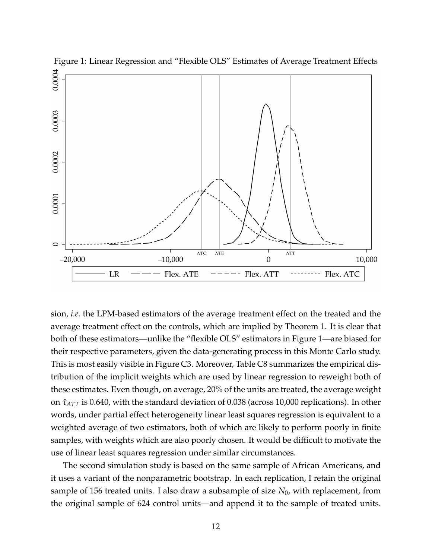<span id="page-13-0"></span>

sion, *i.e.* the LPM-based estimators of the average treatment effect on the treated and the average treatment effect on the controls, which are implied by Theorem [1.](#page-7-0) It is clear that both of these estimators—unlike the "flexible OLS" estimators in Figure [1—](#page-13-0)are biased for their respective parameters, given the data-generating process in this Monte Carlo study. This is most easily visible in Figure [C3.](#page-31-2) Moreover, Table [C8](#page-32-0) summarizes the empirical distribution of the implicit weights which are used by linear regression to reweight both of these estimates. Even though, on average, 20% of the units are treated, the average weight on *τ*ˆ*ATT* is 0.640, with the standard deviation of 0.038 (across 10,000 replications). In other words, under partial effect heterogeneity linear least squares regression is equivalent to a weighted average of two estimators, both of which are likely to perform poorly in finite samples, with weights which are also poorly chosen. It would be difficult to motivate the use of linear least squares regression under similar circumstances.

The second simulation study is based on the same sample of African Americans, and it uses a variant of the nonparametric bootstrap. In each replication, I retain the original sample of 156 treated units. I also draw a subsample of size *N*0, with replacement, from the original sample of 624 control units—and append it to the sample of treated units.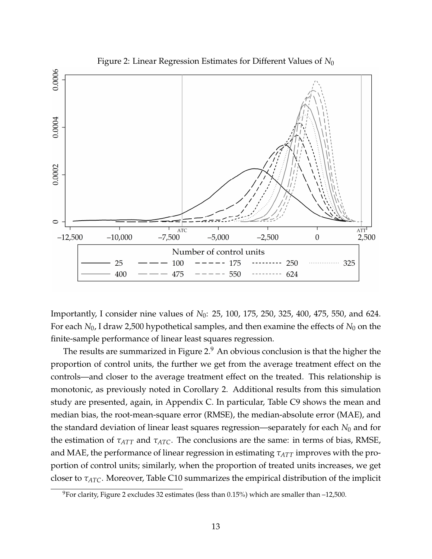<span id="page-14-0"></span>

Importantly, I consider nine values of *N*0: 25, 100, 175, 250, 325, 400, 475, 550, and 624. For each  $N_0$ , I draw 2,500 hypothetical samples, and then examine the effects of  $N_0$  on the finite-sample performance of linear least squares regression.

The results are summarized in Figure [2.](#page-14-0) $9$  An obvious conclusion is that the higher the proportion of control units, the further we get from the average treatment effect on the controls—and closer to the average treatment effect on the treated. This relationship is monotonic, as previously noted in Corollary [2.](#page-9-0) Additional results from this simulation study are presented, again, in Appendix [C.](#page-31-1) In particular, Table [C9](#page-32-1) shows the mean and median bias, the root-mean-square error (RMSE), the median-absolute error (MAE), and the standard deviation of linear least squares regression—separately for each *N*<sup>0</sup> and for the estimation of *τATT* and *τATC*. The conclusions are the same: in terms of bias, RMSE, and MAE, the performance of linear regression in estimating *τATT* improves with the proportion of control units; similarly, when the proportion of treated units increases, we get closer to *τATC*. Moreover, Table [C10](#page-33-0) summarizes the empirical distribution of the implicit

<span id="page-14-1"></span><sup>&</sup>lt;sup>9</sup>For clarity, Figure [2](#page-14-0) excludes 32 estimates (less than 0.15%) which are smaller than  $-12,500$ .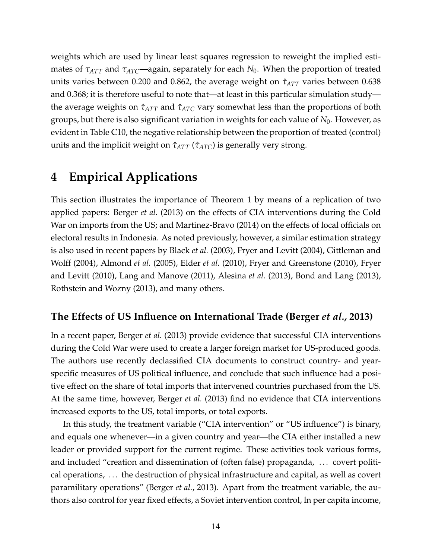weights which are used by linear least squares regression to reweight the implied estimates of *τATT* and *τATC*—again, separately for each *N*0. When the proportion of treated units varies between 0.200 and 0.862, the average weight on  $\hat{\tau}_{ATT}$  varies between 0.638 and 0.368; it is therefore useful to note that—at least in this particular simulation study the average weights on *τ*ˆ*ATT* and *τ*ˆ*ATC* vary somewhat less than the proportions of both groups, but there is also significant variation in weights for each value of *N*0. However, as evident in Table [C10,](#page-33-0) the negative relationship between the proportion of treated (control) units and the implicit weight on *τ*ˆ*ATT* (*τ*ˆ*ATC*) is generally very strong.

# **4 Empirical Applications**

This section illustrates the importance of Theorem [1](#page-7-0) by means of a replication of two applied papers: [Berger](#page-39-5) *et al.* [\(2013\)](#page-39-5) on the effects of CIA interventions during the Cold War on imports from the US; and [Martinez-Bravo](#page-42-2) [\(2014\)](#page-42-2) on the effects of local officials on electoral results in Indonesia. As noted previously, however, a similar estimation strategy is also used in recent papers by [Black](#page-39-2) *et al.* [\(2003\)](#page-39-2), [Fryer and Levitt](#page-41-2) [\(2004\)](#page-41-2), [Gittleman and](#page-41-3) [Wolff](#page-41-3) [\(2004\)](#page-41-3), [Almond](#page-39-3) *et al.* [\(2005\)](#page-39-3), [Elder](#page-40-0) *et al.* [\(2010\)](#page-40-0), [Fryer and Greenstone](#page-40-1) [\(2010\)](#page-40-1), [Fryer](#page-41-4) [and Levitt](#page-41-4) [\(2010\)](#page-41-4), [Lang and Manove](#page-42-0) [\(2011\)](#page-42-0), [Alesina](#page-39-4) *et al.* [\(2013\)](#page-39-4), [Bond and Lang](#page-40-2) [\(2013\)](#page-40-2), [Rothstein and Wozny](#page-42-1) [\(2013\)](#page-42-1), and many others.

#### **The Effects of US Influence on International Trade [\(Berger](#page-39-5)** *et al.***, [2013\)](#page-39-5)**

In a recent paper, [Berger](#page-39-5) *et al.* [\(2013\)](#page-39-5) provide evidence that successful CIA interventions during the Cold War were used to create a larger foreign market for US-produced goods. The authors use recently declassified CIA documents to construct country- and yearspecific measures of US political influence, and conclude that such influence had a positive effect on the share of total imports that intervened countries purchased from the US. At the same time, however, [Berger](#page-39-5) *et al.* [\(2013\)](#page-39-5) find no evidence that CIA interventions increased exports to the US, total imports, or total exports.

In this study, the treatment variable ("CIA intervention" or "US influence") is binary, and equals one whenever—in a given country and year—the CIA either installed a new leader or provided support for the current regime. These activities took various forms, and included "creation and dissemination of (often false) propaganda, ... covert political operations, . . . the destruction of physical infrastructure and capital, as well as covert paramilitary operations" [\(Berger](#page-39-5) *et al.*, [2013\)](#page-39-5). Apart from the treatment variable, the authors also control for year fixed effects, a Soviet intervention control, ln per capita income,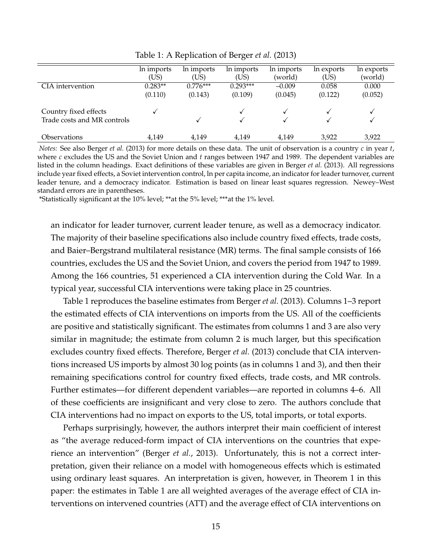|                             | In imports | In imports | In imports | In imports | In exports | In exports |
|-----------------------------|------------|------------|------------|------------|------------|------------|
|                             | (US)       | (US)       | (US)       | (world)    | (US)       | (world)    |
| CIA intervention            | $0.283**$  | $0.776***$ | $0.293***$ | $-0.009$   | 0.058      | 0.000      |
|                             | (0.110)    | (0.143)    | (0.109)    | (0.045)    | (0.122)    | (0.052)    |
|                             |            |            |            |            |            |            |
| Country fixed effects       |            |            |            |            |            |            |
| Trade costs and MR controls |            |            |            |            |            |            |
| <i><b>Observations</b></i>  | 4,149      | 4.149      | 4,149      | 4,149      | 3,922      | 3,922      |
|                             |            |            |            |            |            |            |

<span id="page-16-0"></span>Table 1: A Replication of [Berger](#page-39-5) *et al.* [\(2013\)](#page-39-5)

*Notes:* See also [Berger](#page-39-5) *et al.* [\(2013\)](#page-39-5) for more details on these data. The unit of observation is a country *c* in year *t*, where *c* excludes the US and the Soviet Union and *t* ranges between 1947 and 1989. The dependent variables are listed in the column headings. Exact definitions of these variables are given in [Berger](#page-39-5) *et al.* [\(2013\)](#page-39-5). All regressions include year fixed effects, a Soviet intervention control, ln per capita income, an indicator for leader turnover, current leader tenure, and a democracy indicator. Estimation is based on linear least squares regression. Newey–West standard errors are in parentheses.

\*Statistically significant at the 10% level; \*\*at the 5% level; \*\*\*at the 1% level.

an indicator for leader turnover, current leader tenure, as well as a democracy indicator. The majority of their baseline specifications also include country fixed effects, trade costs, and Baier–Bergstrand multilateral resistance (MR) terms. The final sample consists of 166 countries, excludes the US and the Soviet Union, and covers the period from 1947 to 1989. Among the 166 countries, 51 experienced a CIA intervention during the Cold War. In a typical year, successful CIA interventions were taking place in 25 countries.

Table [1](#page-16-0) reproduces the baseline estimates from [Berger](#page-39-5) *et al.* [\(2013\)](#page-39-5). Columns 1–3 report the estimated effects of CIA interventions on imports from the US. All of the coefficients are positive and statistically significant. The estimates from columns 1 and 3 are also very similar in magnitude; the estimate from column 2 is much larger, but this specification excludes country fixed effects. Therefore, [Berger](#page-39-5) *et al.* [\(2013\)](#page-39-5) conclude that CIA interventions increased US imports by almost 30 log points (as in columns 1 and 3), and then their remaining specifications control for country fixed effects, trade costs, and MR controls. Further estimates—for different dependent variables—are reported in columns 4–6. All of these coefficients are insignificant and very close to zero. The authors conclude that CIA interventions had no impact on exports to the US, total imports, or total exports.

Perhaps surprisingly, however, the authors interpret their main coefficient of interest as "the average reduced-form impact of CIA interventions on the countries that experience an intervention" [\(Berger](#page-39-5) *et al.*, [2013\)](#page-39-5). Unfortunately, this is not a correct interpretation, given their reliance on a model with homogeneous effects which is estimated using ordinary least squares. An interpretation is given, however, in Theorem [1](#page-7-0) in this paper: the estimates in Table [1](#page-16-0) are all weighted averages of the average effect of CIA interventions on intervened countries (ATT) and the average effect of CIA interventions on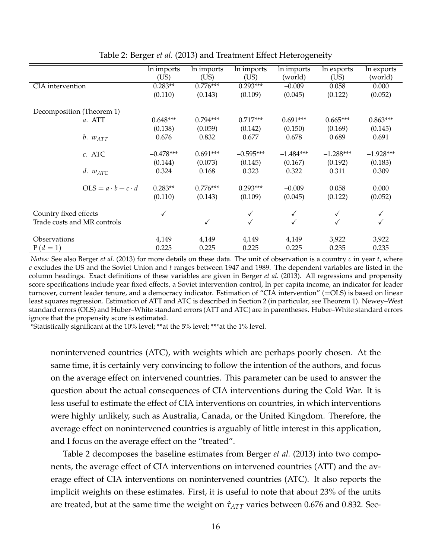|                             |                               | In imports   | In imports   | In imports   | In imports  | In exports   | In exports  |
|-----------------------------|-------------------------------|--------------|--------------|--------------|-------------|--------------|-------------|
|                             |                               | (US)         | (US)         | (US)         | (world)     | (US)         | (world)     |
| CIA intervention            |                               | $0.283**$    | $0.776***$   | $0.293***$   | $-0.009$    | 0.058        | 0.000       |
|                             |                               | (0.110)      | (0.143)      | (0.109)      | (0.045)     | (0.122)      | (0.052)     |
|                             |                               |              |              |              |             |              |             |
| Decomposition (Theorem 1)   |                               |              |              |              |             |              |             |
|                             | a. ATT                        | $0.648***$   | $0.794***$   | $0.717***$   | $0.691***$  | $0.665***$   | $0.863***$  |
|                             |                               | (0.138)      | (0.059)      | (0.142)      | (0.150)     | (0.169)      | (0.145)     |
|                             | $b. w_{ATT}$                  | 0.676        | 0.832        | 0.677        | 0.678       | 0.689        | 0.691       |
|                             |                               |              |              |              |             |              |             |
|                             | c. ATC                        | $-0.478***$  | $0.691***$   | $-0.595***$  | $-1.484***$ | $-1.288***$  | $-1.928***$ |
|                             |                               | (0.144)      | (0.073)      | (0.145)      | (0.167)     | (0.192)      | (0.183)     |
|                             | d. $w_{ATC}$                  | 0.324        | 0.168        | 0.323        | 0.322       | 0.311        | 0.309       |
|                             |                               |              |              |              |             |              |             |
|                             | $OLS = a \cdot b + c \cdot d$ | $0.283**$    | $0.776***$   | $0.293***$   | $-0.009$    | 0.058        | 0.000       |
|                             |                               | (0.110)      | (0.143)      | (0.109)      | (0.045)     | (0.122)      | (0.052)     |
|                             |                               |              |              |              |             |              |             |
| Country fixed effects       |                               | $\checkmark$ |              | ✓            |             | $\checkmark$ |             |
| Trade costs and MR controls |                               |              | $\checkmark$ | $\checkmark$ |             | √            |             |
|                             |                               |              |              |              |             |              |             |
| Observations                |                               | 4,149        | 4,149        | 4,149        | 4,149       | 3,922        | 3,922       |
| $P(d=1)$                    |                               | 0.225        | 0.225        | 0.225        | 0.225       | 0.235        | 0.235       |
|                             |                               |              |              |              |             |              |             |

<span id="page-17-0"></span>Table 2: [Berger](#page-39-5) *et al.* [\(2013\)](#page-39-5) and Treatment Effect Heterogeneity

*Notes:* See also [Berger](#page-39-5) *et al.* [\(2013\)](#page-39-5) for more details on these data. The unit of observation is a country *c* in year *t*, where *c* excludes the US and the Soviet Union and *t* ranges between 1947 and 1989. The dependent variables are listed in the column headings. Exact definitions of these variables are given in [Berger](#page-39-5) *et al.* [\(2013\)](#page-39-5). All regressions and propensity score specifications include year fixed effects, a Soviet intervention control, ln per capita income, an indicator for leader turnover, current leader tenure, and a democracy indicator. Estimation of "CIA intervention" (=OLS) is based on linear least squares regression. Estimation of ATT and ATC is described in Section [2](#page-6-6) (in particular, see Theorem [1\)](#page-7-0). Newey–West standard errors (OLS) and Huber–White standard errors (ATT and ATC) are in parentheses. Huber–White standard errors ignore that the propensity score is estimated.

\*Statistically significant at the 10% level; \*\*at the 5% level; \*\*\*at the 1% level.

nonintervened countries (ATC), with weights which are perhaps poorly chosen. At the same time, it is certainly very convincing to follow the intention of the authors, and focus on the average effect on intervened countries. This parameter can be used to answer the question about the actual consequences of CIA interventions during the Cold War. It is less useful to estimate the effect of CIA interventions on countries, in which interventions were highly unlikely, such as Australia, Canada, or the United Kingdom. Therefore, the average effect on nonintervened countries is arguably of little interest in this application, and I focus on the average effect on the "treated".

Table [2](#page-17-0) decomposes the baseline estimates from [Berger](#page-39-5) *et al.* [\(2013\)](#page-39-5) into two components, the average effect of CIA interventions on intervened countries (ATT) and the average effect of CIA interventions on nonintervened countries (ATC). It also reports the implicit weights on these estimates. First, it is useful to note that about 23% of the units are treated, but at the same time the weight on  $\hat{\tau}_{ATT}$  varies between 0.676 and 0.832. Sec-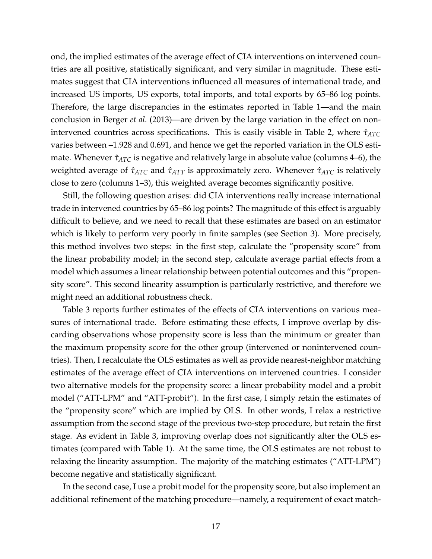ond, the implied estimates of the average effect of CIA interventions on intervened countries are all positive, statistically significant, and very similar in magnitude. These estimates suggest that CIA interventions influenced all measures of international trade, and increased US imports, US exports, total imports, and total exports by 65–86 log points. Therefore, the large discrepancies in the estimates reported in Table [1—](#page-16-0)and the main conclusion in [Berger](#page-39-5) *et al.* [\(2013\)](#page-39-5)—are driven by the large variation in the effect on non-intervened countries across specifications. This is easily visible in Table [2,](#page-17-0) where  $\hat{\tau}_{ATC}$ varies between –1.928 and 0.691, and hence we get the reported variation in the OLS estimate. Whenever  $\hat{\tau}_{ATC}$  is negative and relatively large in absolute value (columns 4–6), the weighted average of  $\hat{\tau}_{ATC}$  and  $\hat{\tau}_{ATT}$  is approximately zero. Whenever  $\hat{\tau}_{ATC}$  is relatively close to zero (columns 1–3), this weighted average becomes significantly positive.

Still, the following question arises: did CIA interventions really increase international trade in intervened countries by 65–86 log points? The magnitude of this effect is arguably difficult to believe, and we need to recall that these estimates are based on an estimator which is likely to perform very poorly in finite samples (see Section [3\)](#page-11-1). More precisely, this method involves two steps: in the first step, calculate the "propensity score" from the linear probability model; in the second step, calculate average partial effects from a model which assumes a linear relationship between potential outcomes and this "propensity score". This second linearity assumption is particularly restrictive, and therefore we might need an additional robustness check.

Table [3](#page-19-0) reports further estimates of the effects of CIA interventions on various measures of international trade. Before estimating these effects, I improve overlap by discarding observations whose propensity score is less than the minimum or greater than the maximum propensity score for the other group (intervened or nonintervened countries). Then, I recalculate the OLS estimates as well as provide nearest-neighbor matching estimates of the average effect of CIA interventions on intervened countries. I consider two alternative models for the propensity score: a linear probability model and a probit model ("ATT-LPM" and "ATT-probit"). In the first case, I simply retain the estimates of the "propensity score" which are implied by OLS. In other words, I relax a restrictive assumption from the second stage of the previous two-step procedure, but retain the first stage. As evident in Table [3,](#page-19-0) improving overlap does not significantly alter the OLS estimates (compared with Table [1\)](#page-16-0). At the same time, the OLS estimates are not robust to relaxing the linearity assumption. The majority of the matching estimates ("ATT-LPM") become negative and statistically significant.

In the second case, I use a probit model for the propensity score, but also implement an additional refinement of the matching procedure—namely, a requirement of exact match-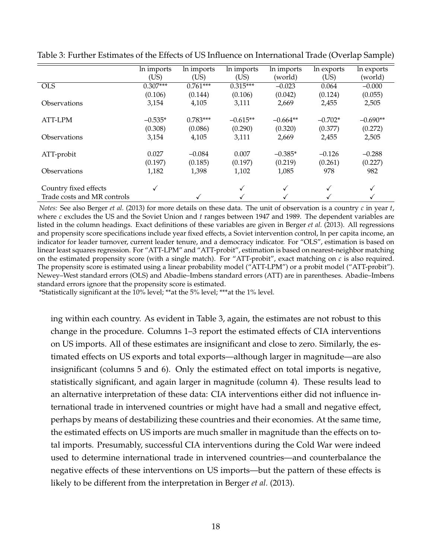|                             | In imports   | In imports | $\overline{\ln}$ imports | In imports | In exports | In exports |
|-----------------------------|--------------|------------|--------------------------|------------|------------|------------|
|                             | (US)         | (US)       | (US)                     | (world)    | (US)       | (world)    |
| <b>OLS</b>                  | $0.307***$   | $0.761***$ | $0.315***$               | $-0.023$   | 0.064      | $-0.000$   |
|                             | (0.106)      | (0.144)    | (0.106)                  | (0.042)    | (0.124)    | (0.055)    |
| Observations                | 3,154        | 4,105      | 3,111                    | 2,669      | 2,455      | 2,505      |
| ATT-LPM                     | $-0.535*$    | $0.783***$ | $-0.615**$               | $-0.664**$ | $-0.702*$  | $-0.690**$ |
|                             | (0.308)      | (0.086)    | (0.290)                  | (0.320)    | (0.377)    | (0.272)    |
| <b>Observations</b>         | 3,154        | 4,105      | 3,111                    | 2,669      | 2,455      | 2,505      |
| ATT-probit                  | 0.027        | $-0.084$   | 0.007                    | $-0.385*$  | $-0.126$   | $-0.288$   |
|                             | (0.197)      | (0.185)    | (0.197)                  | (0.219)    | (0.261)    | (0.227)    |
| Observations                | 1,182        | 1,398      | 1,102                    | 1,085      | 978        | 982        |
| Country fixed effects       | $\checkmark$ |            | ✓                        | ✓          |            | ✓          |
| Trade costs and MR controls |              | ✓          |                          |            |            |            |

<span id="page-19-0"></span>Table 3: Further Estimates of the Effects of US Influence on International Trade (Overlap Sample)

*Notes:* See also [Berger](#page-39-5) *et al.* [\(2013\)](#page-39-5) for more details on these data. The unit of observation is a country *c* in year *t*, where *c* excludes the US and the Soviet Union and *t* ranges between 1947 and 1989. The dependent variables are listed in the column headings. Exact definitions of these variables are given in [Berger](#page-39-5) *et al.* [\(2013\)](#page-39-5). All regressions and propensity score specifications include year fixed effects, a Soviet intervention control, ln per capita income, an indicator for leader turnover, current leader tenure, and a democracy indicator. For "OLS", estimation is based on linear least squares regression. For "ATT-LPM" and "ATT-probit", estimation is based on nearest-neighbor matching on the estimated propensity score (with a single match). For "ATT-probit", exact matching on *c* is also required. The propensity score is estimated using a linear probability model ("ATT-LPM") or a probit model ("ATT-probit"). Newey–West standard errors (OLS) and Abadie–Imbens standard errors (ATT) are in parentheses. Abadie–Imbens standard errors ignore that the propensity score is estimated.

\*Statistically significant at the 10% level; \*\*at the 5% level; \*\*\*at the 1% level.

ing within each country. As evident in Table [3,](#page-19-0) again, the estimates are not robust to this change in the procedure. Columns 1–3 report the estimated effects of CIA interventions on US imports. All of these estimates are insignificant and close to zero. Similarly, the estimated effects on US exports and total exports—although larger in magnitude—are also insignificant (columns 5 and 6). Only the estimated effect on total imports is negative, statistically significant, and again larger in magnitude (column 4). These results lead to an alternative interpretation of these data: CIA interventions either did not influence international trade in intervened countries or might have had a small and negative effect, perhaps by means of destabilizing these countries and their economies. At the same time, the estimated effects on US imports are much smaller in magnitude than the effects on total imports. Presumably, successful CIA interventions during the Cold War were indeed used to determine international trade in intervened countries—and counterbalance the negative effects of these interventions on US imports—but the pattern of these effects is likely to be different from the interpretation in [Berger](#page-39-5) *et al.* [\(2013\)](#page-39-5).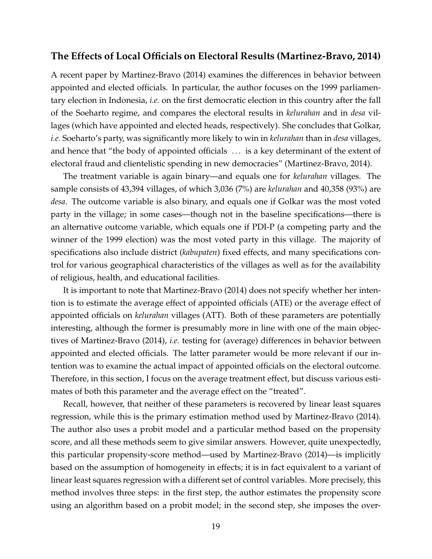#### **The Effects of Local Officials on Electoral Results [\(Martinez-Bravo, 2014\)](#page-42-2)**

A recent paper by [Martinez-Bravo](#page-42-2) [\(2014\)](#page-42-2) examines the differences in behavior between appointed and elected officials. In particular, the author focuses on the 1999 parliamentary election in Indonesia, *i.e.* on the first democratic election in this country after the fall of the Soeharto regime, and compares the electoral results in *kelurahan* and in *desa* villages (which have appointed and elected heads, respectively). She concludes that Golkar, *i.e.* Soeharto's party, was significantly more likely to win in *kelurahan* than in *desa* villages, and hence that "the body of appointed officials . . . is a key determinant of the extent of electoral fraud and clientelistic spending in new democracies" [\(Martinez-Bravo, 2014\)](#page-42-2).

The treatment variable is again binary—and equals one for *kelurahan* villages. The sample consists of 43,394 villages, of which 3,036 (7%) are *kelurahan* and 40,358 (93%) are *desa*. The outcome variable is also binary, and equals one if Golkar was the most voted party in the village; in some cases—though not in the baseline specifications—there is an alternative outcome variable, which equals one if PDI-P (a competing party and the winner of the 1999 election) was the most voted party in this village. The majority of specifications also include district (*kabupaten*) fixed effects, and many specifications control for various geographical characteristics of the villages as well as for the availability of religious, health, and educational facilities.

It is important to note that [Martinez-Bravo](#page-42-2) [\(2014\)](#page-42-2) does not specify whether her intention is to estimate the average effect of appointed officials (ATE) or the average effect of appointed officials on *kelurahan* villages (ATT). Both of these parameters are potentially interesting, although the former is presumably more in line with one of the main objectives of [Martinez-Bravo](#page-42-2) [\(2014\)](#page-42-2), *i.e.* testing for (average) differences in behavior between appointed and elected officials. The latter parameter would be more relevant if our intention was to examine the actual impact of appointed officials on the electoral outcome. Therefore, in this section, I focus on the average treatment effect, but discuss various estimates of both this parameter and the average effect on the "treated".

Recall, however, that neither of these parameters is recovered by linear least squares regression, while this is the primary estimation method used by [Martinez-Bravo](#page-42-2) [\(2014\)](#page-42-2). The author also uses a probit model and a particular method based on the propensity score, and all these methods seem to give similar answers. However, quite unexpectedly, this particular propensity-score method—used by [Martinez-Bravo](#page-42-2) [\(2014\)](#page-42-2)—is implicitly based on the assumption of homogeneity in effects; it is in fact equivalent to a variant of linear least squares regression with a different set of control variables. More precisely, this method involves three steps: in the first step, the author estimates the propensity score using an algorithm based on a probit model; in the second step, she imposes the over-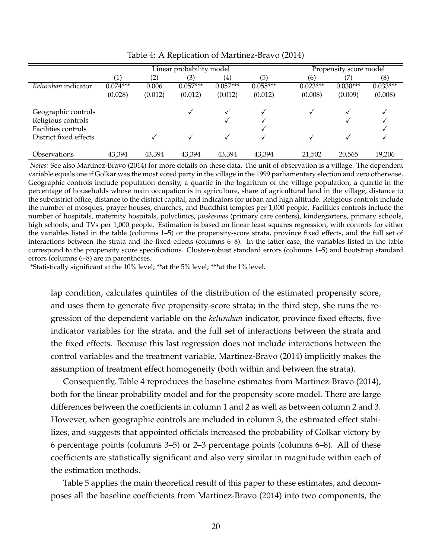|                            |                  |         | Linear probability model |                   | Propensity score model |            |            |            |
|----------------------------|------------------|---------|--------------------------|-------------------|------------------------|------------|------------|------------|
|                            | $\left(1\right)$ | (2)     | (3)                      | $\left( 4\right)$ | (5)                    | (6)        |            | (8)        |
| Kelurahan indicator        | $0.074***$       | 0.006   | $0.057***$               | $0.057***$        | $0.055***$             | $0.023***$ | $0.030***$ | $0.033***$ |
|                            | (0.028)          | (0.012) | (0.012)                  | (0.012)           | (0.012)                | (0.008)    | (0.009)    | (0.008)    |
| Geographic controls        |                  |         |                          |                   |                        |            |            |            |
| Religious controls         |                  |         |                          |                   |                        |            |            |            |
| Facilities controls        |                  |         |                          |                   |                        |            |            |            |
| District fixed effects     |                  |         |                          |                   |                        |            |            |            |
| <i><b>Observations</b></i> | 43,394           | 43.394  | 43.394                   | 43,394            | 43,394                 | 21,502     | 20,565     | 19,206     |

<span id="page-21-0"></span>Table 4: A Replication of [Martinez-Bravo](#page-42-2) [\(2014\)](#page-42-2)

*Notes:* See also [Martinez-Bravo](#page-42-2) [\(2014\)](#page-42-2) for more details on these data. The unit of observation is a village. The dependent variable equals one if Golkar was the most voted party in the village in the 1999 parliamentary election and zero otherwise. Geographic controls include population density, a quartic in the logarithm of the village population, a quartic in the percentage of households whose main occupation is in agriculture, share of agricultural land in the village, distance to the subdistrict office, distance to the district capital, and indicators for urban and high altitude. Religious controls include the number of mosques, prayer houses, churches, and Buddhist temples per 1,000 people. Facilities controls include the number of hospitals, maternity hospitals, polyclinics, *puskesmas* (primary care centers), kindergartens, primary schools, high schools, and TVs per 1,000 people. Estimation is based on linear least squares regression, with controls for either the variables listed in the table (columns 1–5) or the propensity-score strata, province fixed effects, and the full set of interactions between the strata and the fixed effects (columns 6–8). In the latter case, the variables listed in the table correspond to the propensity score specifications. Cluster-robust standard errors (columns 1–5) and bootstrap standard errors (columns 6–8) are in parentheses.

\*Statistically significant at the 10% level; \*\*at the 5% level; \*\*\*at the 1% level.

lap condition, calculates quintiles of the distribution of the estimated propensity score, and uses them to generate five propensity-score strata; in the third step, she runs the regression of the dependent variable on the *kelurahan* indicator, province fixed effects, five indicator variables for the strata, and the full set of interactions between the strata and the fixed effects. Because this last regression does not include interactions between the control variables and the treatment variable, [Martinez-Bravo](#page-42-2) [\(2014\)](#page-42-2) implicitly makes the assumption of treatment effect homogeneity (both within and between the strata).

Consequently, Table [4](#page-21-0) reproduces the baseline estimates from [Martinez-Bravo](#page-42-2) [\(2014\)](#page-42-2), both for the linear probability model and for the propensity score model. There are large differences between the coefficients in column 1 and 2 as well as between column 2 and 3. However, when geographic controls are included in column 3, the estimated effect stabilizes, and suggests that appointed officials increased the probability of Golkar victory by 6 percentage points (columns 3–5) or 2–3 percentage points (columns 6–8). All of these coefficients are statistically significant and also very similar in magnitude within each of the estimation methods.

Table [5](#page-22-0) applies the main theoretical result of this paper to these estimates, and decomposes all the baseline coefficients from [Martinez-Bravo](#page-42-2) [\(2014\)](#page-42-2) into two components, the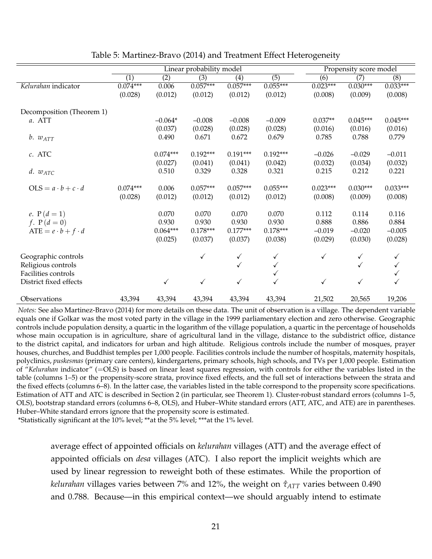|                               |                  |                       | Linear probability model |                       |                       |                     | Propensity score model |                     |
|-------------------------------|------------------|-----------------------|--------------------------|-----------------------|-----------------------|---------------------|------------------------|---------------------|
|                               | $\overline{(1)}$ | $\overline{(2)}$      | $\overline{(3)}$         | $\overline{(4)}$      | $\overline{(5)}$      | $\overline{(6)}$    | $\overline{(7)}$       | $\overline{(8)}$    |
| Kelurahan indicator           | $0.074***$       | 0.006                 | $0.057***$               | $0.057***$            | $0.055***$            | $0.023***$          | $0.030***$             | $0.033***$          |
|                               | (0.028)          | (0.012)               | (0.012)                  | (0.012)               | (0.012)               | (0.008)             | (0.009)                | (0.008)             |
| Decomposition (Theorem 1)     |                  |                       |                          |                       |                       |                     |                        |                     |
| a. ATT                        |                  | $-0.064*$             | $-0.008$                 | $-0.008$              | $-0.009$              | $0.037**$           | $0.045***$             | $0.045***$          |
|                               |                  | (0.037)               | (0.028)                  | (0.028)               | (0.028)               | (0.016)             | (0.016)                | (0.016)             |
| $b. w_{ATT}$                  |                  | 0.490                 | 0.671                    | 0.672                 | 0.679                 | 0.785               | 0.788                  | 0.779               |
| c. ATC                        |                  | $0.074***$<br>(0.027) | $0.192***$<br>(0.041)    | $0.191***$<br>(0.041) | $0.192***$<br>(0.042) | $-0.026$<br>(0.032) | $-0.029$<br>(0.034)    | $-0.011$<br>(0.032) |
| $d. w_{ATC}$                  |                  | 0.510                 | 0.329                    | 0.328                 | 0.321                 | 0.215               | 0.212                  | 0.221               |
|                               |                  |                       |                          |                       |                       |                     |                        |                     |
| $OLS = a \cdot b + c \cdot d$ | $0.074***$       | 0.006                 | $0.057***$               | $0.057***$            | $0.055***$            | $0.023***$          | $0.030***$             | $0.033***$          |
|                               | (0.028)          | (0.012)               | (0.012)                  | (0.012)               | (0.012)               | (0.008)             | (0.009)                | (0.008)             |
|                               |                  |                       |                          |                       |                       |                     |                        |                     |
| e. $P(d = 1)$                 |                  | 0.070                 | 0.070                    | 0.070                 | 0.070                 | 0.112               | 0.114                  | 0.116               |
| $f. P(d = 0)$                 |                  | 0.930                 | 0.930                    | 0.930                 | 0.930                 | 0.888               | 0.886                  | 0.884               |
| ATE = $e \cdot b + f \cdot d$ |                  | $0.064***$            | $0.178***$               | $0.177***$            | $0.178***$            | $-0.019$            | $-0.020$               | $-0.005$            |
|                               |                  | (0.025)               | (0.037)                  | (0.037)               | (0.038)               | (0.029)             | (0.030)                | (0.028)             |
|                               |                  |                       |                          |                       |                       |                     |                        |                     |
| Geographic controls           |                  |                       | ✓                        | $\checkmark$          | $\checkmark$          | $\checkmark$        | $\checkmark$           | ✓                   |
| Religious controls            |                  |                       |                          |                       | ✓                     |                     | $\checkmark$           |                     |
| Facilities controls           |                  |                       |                          |                       | ✓                     |                     |                        |                     |
| District fixed effects        |                  | $\checkmark$          | $\checkmark$             |                       | ✓                     | $\checkmark$        | $\checkmark$           |                     |
| Observations                  | 43,394           | 43,394                | 43,394                   | 43,394                | 43,394                | 21,502              | 20,565                 | 19,206              |

<span id="page-22-0"></span>Table 5: [Martinez-Bravo](#page-42-2) [\(2014\)](#page-42-2) and Treatment Effect Heterogeneity

*Notes:* See also [Martinez-Bravo](#page-42-2) [\(2014\)](#page-42-2) for more details on these data. The unit of observation is a village. The dependent variable equals one if Golkar was the most voted party in the village in the 1999 parliamentary election and zero otherwise. Geographic controls include population density, a quartic in the logarithm of the village population, a quartic in the percentage of households whose main occupation is in agriculture, share of agricultural land in the village, distance to the subdistrict office, distance to the district capital, and indicators for urban and high altitude. Religious controls include the number of mosques, prayer houses, churches, and Buddhist temples per 1,000 people. Facilities controls include the number of hospitals, maternity hospitals, polyclinics, *puskesmas* (primary care centers), kindergartens, primary schools, high schools, and TVs per 1,000 people. Estimation of "*Kelurahan* indicator" (=OLS) is based on linear least squares regression, with controls for either the variables listed in the table (columns 1–5) or the propensity-score strata, province fixed effects, and the full set of interactions between the strata and the fixed effects (columns 6–8). In the latter case, the variables listed in the table correspond to the propensity score specifications. Estimation of ATT and ATC is described in Section [2](#page-6-6) (in particular, see Theorem [1\)](#page-7-0). Cluster-robust standard errors (columns 1–5, OLS), bootstrap standard errors (columns 6–8, OLS), and Huber–White standard errors (ATT, ATC, and ATE) are in parentheses. Huber–White standard errors ignore that the propensity score is estimated.

\*Statistically significant at the 10% level; \*\*at the 5% level; \*\*\*at the 1% level.

average effect of appointed officials on *kelurahan* villages (ATT) and the average effect of appointed officials on *desa* villages (ATC). I also report the implicit weights which are used by linear regression to reweight both of these estimates. While the proportion of *kelurahan* villages varies between 7% and 12%, the weight on  $\hat{\tau}_{ATT}$  varies between 0.490 and 0.788. Because—in this empirical context—we should arguably intend to estimate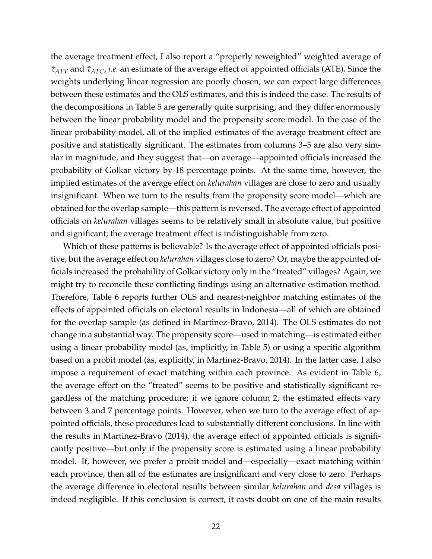the average treatment effect, I also report a "properly reweighted" weighted average of *τ*ˆ*ATT* and *τ*ˆ*ATC*, *i.e.* an estimate of the average effect of appointed officials (ATE). Since the weights underlying linear regression are poorly chosen, we can expect large differences between these estimates and the OLS estimates, and this is indeed the case. The results of the decompositions in Table [5](#page-22-0) are generally quite surprising, and they differ enormously between the linear probability model and the propensity score model. In the case of the linear probability model, all of the implied estimates of the average treatment effect are positive and statistically significant. The estimates from columns 3–5 are also very similar in magnitude, and they suggest that—on average—appointed officials increased the probability of Golkar victory by 18 percentage points. At the same time, however, the implied estimates of the average effect on *kelurahan* villages are close to zero and usually insignificant. When we turn to the results from the propensity score model—which are obtained for the overlap sample—this pattern is reversed. The average effect of appointed officials on *kelurahan* villages seems to be relatively small in absolute value, but positive and significant; the average treatment effect is indistinguishable from zero.

Which of these patterns is believable? Is the average effect of appointed officials positive, but the average effect on *kelurahan* villages close to zero? Or, maybe the appointed officials increased the probability of Golkar victory only in the "treated" villages? Again, we might try to reconcile these conflicting findings using an alternative estimation method. Therefore, Table [6](#page-24-0) reports further OLS and nearest-neighbor matching estimates of the effects of appointed officials on electoral results in Indonesia—all of which are obtained for the overlap sample (as defined in [Martinez-Bravo, 2014\)](#page-42-2). The OLS estimates do not change in a substantial way. The propensity score—used in matching—is estimated either using a linear probability model (as, implicitly, in Table [5\)](#page-22-0) or using a specific algorithm based on a probit model (as, explicitly, in [Martinez-Bravo, 2014\)](#page-42-2). In the latter case, I also impose a requirement of exact matching within each province. As evident in Table [6,](#page-24-0) the average effect on the "treated" seems to be positive and statistically significant regardless of the matching procedure; if we ignore column 2, the estimated effects vary between 3 and 7 percentage points. However, when we turn to the average effect of appointed officials, these procedures lead to substantially different conclusions. In line with the results in [Martinez-Bravo](#page-42-2) [\(2014\)](#page-42-2), the average effect of appointed officials is significantly positive—but only if the propensity score is estimated using a linear probability model. If, however, we prefer a probit model and—especially—exact matching within each province, then all of the estimates are insignificant and very close to zero. Perhaps the average difference in electoral results between similar *kelurahan* and *desa* villages is indeed negligible. If this conclusion is correct, it casts doubt on one of the main results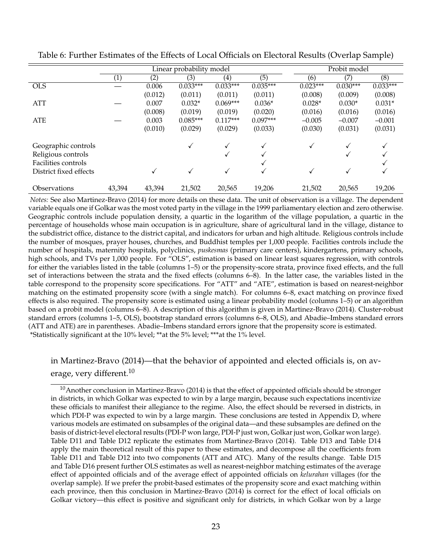|                        |                   |         | Linear probability model |            |            | Probit model |            |            |  |
|------------------------|-------------------|---------|--------------------------|------------|------------|--------------|------------|------------|--|
|                        | $\left( 1\right)$ | (2)     | (3)                      | (4)        | (5)        | (6)          | (7)        | (8)        |  |
| <b>OLS</b>             |                   | 0.006   | $0.033***$               | $0.033***$ | $0.035***$ | $0.023***$   | $0.030***$ | $0.033***$ |  |
|                        |                   | (0.012) | (0.011)                  | (0.011)    | (0.011)    | (0.008)      | (0.009)    | (0.008)    |  |
| <b>ATT</b>             |                   | 0.007   | $0.032*$                 | $0.069***$ | $0.036*$   | $0.028*$     | $0.030*$   | $0.031*$   |  |
|                        |                   | (0.008) | (0.019)                  | (0.019)    | (0.020)    | (0.016)      | (0.016)    | (0.016)    |  |
| ATE                    |                   | 0.003   | $0.085***$               | $0.117***$ | $0.097***$ | $-0.005$     | $-0.007$   | $-0.001$   |  |
|                        |                   | (0.010) | (0.029)                  | (0.029)    | (0.033)    | (0.030)      | (0.031)    | (0.031)    |  |
| Geographic controls    |                   |         | ✓                        | √          | √          | ✓            |            |            |  |
| Religious controls     |                   |         |                          |            |            |              |            |            |  |
| Facilities controls    |                   |         |                          |            |            |              |            |            |  |
| District fixed effects |                   |         | ✓                        |            |            | √            | √          |            |  |
| Observations           | 43,394            | 43,394  | 21,502                   | 20,565     | 19,206     | 21,502       | 20,565     | 19,206     |  |

<span id="page-24-0"></span>Table 6: Further Estimates of the Effects of Local Officials on Electoral Results (Overlap Sample)

*Notes:* See also [Martinez-Bravo](#page-42-2) [\(2014\)](#page-42-2) for more details on these data. The unit of observation is a village. The dependent variable equals one if Golkar was the most voted party in the village in the 1999 parliamentary election and zero otherwise. Geographic controls include population density, a quartic in the logarithm of the village population, a quartic in the percentage of households whose main occupation is in agriculture, share of agricultural land in the village, distance to the subdistrict office, distance to the district capital, and indicators for urban and high altitude. Religious controls include the number of mosques, prayer houses, churches, and Buddhist temples per 1,000 people. Facilities controls include the number of hospitals, maternity hospitals, polyclinics, *puskesmas* (primary care centers), kindergartens, primary schools, high schools, and TVs per 1,000 people. For "OLS", estimation is based on linear least squares regression, with controls for either the variables listed in the table (columns 1–5) or the propensity-score strata, province fixed effects, and the full set of interactions between the strata and the fixed effects (columns 6–8). In the latter case, the variables listed in the table correspond to the propensity score specifications. For "ATT" and "ATE", estimation is based on nearest-neighbor matching on the estimated propensity score (with a single match). For columns 6–8, exact matching on province fixed effects is also required. The propensity score is estimated using a linear probability model (columns 1–5) or an algorithm based on a probit model (columns 6–8). A description of this algorithm is given in [Martinez-Bravo](#page-42-2) [\(2014\)](#page-42-2). Cluster-robust standard errors (columns 1–5, OLS), bootstrap standard errors (columns 6–8, OLS), and Abadie–Imbens standard errors (ATT and ATE) are in parentheses. Abadie–Imbens standard errors ignore that the propensity score is estimated. \*Statistically significant at the 10% level; \*\*at the 5% level; \*\*\*at the 1% level.

#### in [Martinez-Bravo](#page-42-2) [\(2014\)](#page-42-2)—that the behavior of appointed and elected officials is, on av-erage, very different.<sup>[10](#page-24-1)</sup>

<span id="page-24-1"></span> $10$ Another conclusion in [Martinez-Bravo](#page-42-2) [\(2014\)](#page-42-2) is that the effect of appointed officials should be stronger in districts, in which Golkar was expected to win by a large margin, because such expectations incentivize these officials to manifest their allegiance to the regime. Also, the effect should be reversed in districts, in which PDI-P was expected to win by a large margin. These conclusions are tested in Appendix [D,](#page-34-0) where various models are estimated on subsamples of the original data—and these subsamples are defined on the basis of district-level electoral results (PDI-P won large, PDI-P just won, Golkar just won, Golkar won large). Table [D11](#page-34-1) and Table [D12](#page-34-2) replicate the estimates from [Martinez-Bravo](#page-42-2) [\(2014\)](#page-42-2). Table [D13](#page-35-0) and Table [D14](#page-36-0) apply the main theoretical result of this paper to these estimates, and decompose all the coefficients from Table [D11](#page-34-1) and Table [D12](#page-34-2) into two components (ATT and ATC). Many of the results change. Table [D15](#page-37-0) and Table [D16](#page-38-0) present further OLS estimates as well as nearest-neighbor matching estimates of the average effect of appointed officials and of the average effect of appointed officials on *kelurahan* villages (for the overlap sample). If we prefer the probit-based estimates of the propensity score and exact matching within each province, then this conclusion in [Martinez-Bravo](#page-42-2) [\(2014\)](#page-42-2) is correct for the effect of local officials on Golkar victory—this effect is positive and significant only for districts, in which Golkar won by a large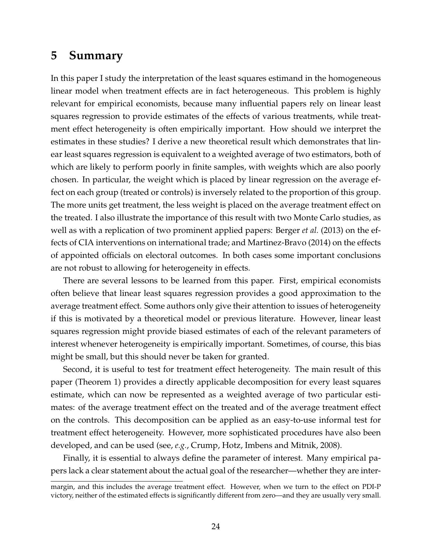#### **5 Summary**

In this paper I study the interpretation of the least squares estimand in the homogeneous linear model when treatment effects are in fact heterogeneous. This problem is highly relevant for empirical economists, because many influential papers rely on linear least squares regression to provide estimates of the effects of various treatments, while treatment effect heterogeneity is often empirically important. How should we interpret the estimates in these studies? I derive a new theoretical result which demonstrates that linear least squares regression is equivalent to a weighted average of two estimators, both of which are likely to perform poorly in finite samples, with weights which are also poorly chosen. In particular, the weight which is placed by linear regression on the average effect on each group (treated or controls) is inversely related to the proportion of this group. The more units get treatment, the less weight is placed on the average treatment effect on the treated. I also illustrate the importance of this result with two Monte Carlo studies, as well as with a replication of two prominent applied papers: [Berger](#page-39-5) *et al.* [\(2013\)](#page-39-5) on the effects of CIA interventions on international trade; and [Martinez-Bravo](#page-42-2) [\(2014\)](#page-42-2) on the effects of appointed officials on electoral outcomes. In both cases some important conclusions are not robust to allowing for heterogeneity in effects.

There are several lessons to be learned from this paper. First, empirical economists often believe that linear least squares regression provides a good approximation to the average treatment effect. Some authors only give their attention to issues of heterogeneity if this is motivated by a theoretical model or previous literature. However, linear least squares regression might provide biased estimates of each of the relevant parameters of interest whenever heterogeneity is empirically important. Sometimes, of course, this bias might be small, but this should never be taken for granted.

Second, it is useful to test for treatment effect heterogeneity. The main result of this paper (Theorem [1\)](#page-7-0) provides a directly applicable decomposition for every least squares estimate, which can now be represented as a weighted average of two particular estimates: of the average treatment effect on the treated and of the average treatment effect on the controls. This decomposition can be applied as an easy-to-use informal test for treatment effect heterogeneity. However, more sophisticated procedures have also been developed, and can be used (see, *e.g.*, [Crump, Hotz, Imbens and Mitnik, 2008\)](#page-40-10).

Finally, it is essential to always define the parameter of interest. Many empirical papers lack a clear statement about the actual goal of the researcher—whether they are inter-

margin, and this includes the average treatment effect. However, when we turn to the effect on PDI-P victory, neither of the estimated effects is significantly different from zero—and they are usually very small.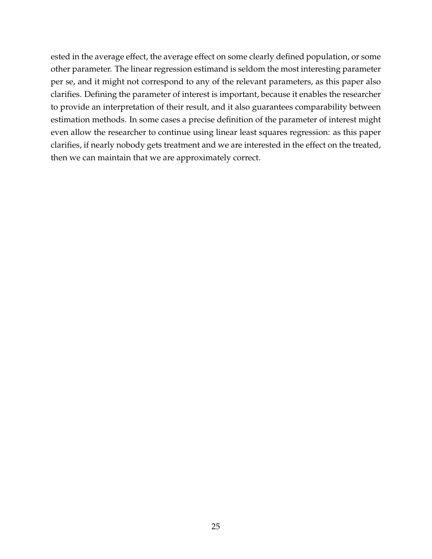ested in the average effect, the average effect on some clearly defined population, or some other parameter. The linear regression estimand is seldom the most interesting parameter per se, and it might not correspond to any of the relevant parameters, as this paper also clarifies. Defining the parameter of interest is important, because it enables the researcher to provide an interpretation of their result, and it also guarantees comparability between estimation methods. In some cases a precise definition of the parameter of interest might even allow the researcher to continue using linear least squares regression: as this paper clarifies, if nearly nobody gets treatment and we are interested in the effect on the treated, then we can maintain that we are approximately correct.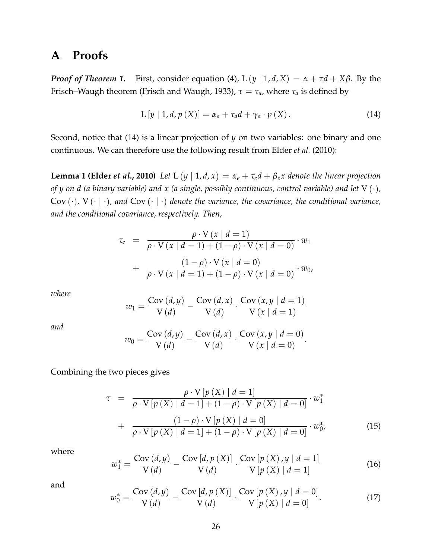## <span id="page-27-0"></span>**A Proofs**

*Proof of Theorem [1.](#page-7-0)* First, consider equation [\(4\)](#page-6-3),  $L(y | 1, d, X) = \alpha + \tau d + X\beta$ . By the Frisch–Waugh theorem [\(Frisch and Waugh, 1933\)](#page-40-11),  $\tau = \tau_a$ , where  $\tau_a$  is defined by

<span id="page-27-1"></span>
$$
L[y | 1, d, p(X)] = \alpha_a + \tau_a d + \gamma_a \cdot p(X). \qquad (14)
$$

Second, notice that [\(14\)](#page-27-1) is a linear projection of *y* on two variables: one binary and one continuous. We can therefore use the following result from [Elder](#page-40-0) *et al.* [\(2010\)](#page-40-0):

<span id="page-27-2"></span>**Lemma 1 [\(Elder](#page-40-0)** *et al.***, [2010\)](#page-40-0)** *Let*  $L(y | 1, d, x) = \alpha_e + \tau_e d + \beta_e x$  *denote the linear projection of y on d (a binary variable) and x (a single, possibly continuous, control variable) and let* V (·)*,* Cov  $(\cdot)$ , V  $(\cdot | \cdot)$ , and Cov  $(\cdot | \cdot)$  denote the variance, the covariance, the conditional variance, *and the conditional covariance, respectively. Then,*

$$
\tau_e = \frac{\rho \cdot V(x \mid d=1)}{\rho \cdot V(x \mid d=1) + (1-\rho) \cdot V(x \mid d=0)} \cdot w_1
$$

$$
+ \frac{(1-\rho) \cdot V(x \mid d=0)}{\rho \cdot V(x \mid d=1) + (1-\rho) \cdot V(x \mid d=0)} \cdot w_0,
$$

*where*

$$
w_1 = \frac{\text{Cov}(d, y)}{\text{V}(d)} - \frac{\text{Cov}(d, x)}{\text{V}(d)} \cdot \frac{\text{Cov}(x, y \mid d = 1)}{\text{V}(x \mid d = 1)}
$$

*and*

$$
w_0 = \frac{\text{Cov}(d, y)}{\text{V}(d)} - \frac{\text{Cov}(d, x)}{\text{V}(d)} \cdot \frac{\text{Cov}(x, y \mid d = 0)}{\text{V}(x \mid d = 0)}.
$$

Combining the two pieces gives

$$
\tau = \frac{\rho \cdot V[p(X) | d = 1]}{\rho \cdot V[p(X) | d = 1] + (1 - \rho) \cdot V[p(X) | d = 0]} \cdot w_1^*
$$
  
+ 
$$
\frac{(1 - \rho) \cdot V[p(X) | d = 0]}{\rho \cdot V[p(X) | d = 1] + (1 - \rho) \cdot V[p(X) | d = 0]} \cdot w_0^*,
$$
(15)

where

$$
w_1^* = \frac{\text{Cov}\left(d, y\right)}{V\left(d\right)} - \frac{\text{Cov}\left[d, p\left(X\right)\right]}{V\left(d\right)} \cdot \frac{\text{Cov}\left[p\left(X\right), y \mid d = 1\right]}{V\left[p\left(X\right) \mid d = 1\right]} \tag{16}
$$

and

$$
w_0^* = \frac{\text{Cov}\left(d, y\right)}{V\left(d\right)} - \frac{\text{Cov}\left[d, p\left(X\right)\right]}{V\left(d\right)} \cdot \frac{\text{Cov}\left[p\left(X\right), y \mid d = 0\right]}{V\left[p\left(X\right) \mid d = 0\right]}.\tag{17}
$$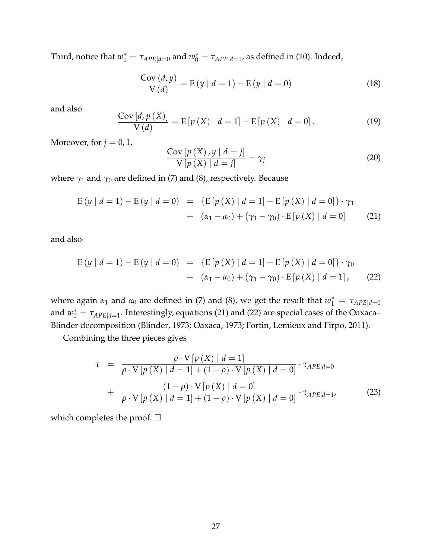Third, notice that  $w_1^* = \tau_{APE|d=0}$  and  $w_0^* = \tau_{APE|d=1}$ , as defined in [\(10\)](#page-6-4). Indeed,

$$
\frac{\text{Cov}(d, y)}{\text{V}(d)} = \text{E}(y \mid d = 1) - \text{E}(y \mid d = 0)
$$
\n(18)

and also

$$
\frac{\text{Cov}[d, p(X)]}{V(d)} = E[p(X) | d = 1] - E[p(X) | d = 0].
$$
 (19)

Moreover, for  $j = 0, 1$ ,

$$
\frac{\text{Cov}\left[p\left(X\right),y\mid d=j\right]}{\text{V}\left[p\left(X\right)\mid d=j\right]} = \gamma_j \tag{20}
$$

where *γ*<sup>1</sup> and *γ*<sup>0</sup> are defined in [\(7\)](#page-6-7) and [\(8\)](#page-6-2), respectively. Because

<span id="page-28-0"></span>
$$
E(y | d = 1) - E(y | d = 0) = \{E[p(X) | d = 1] - E[p(X) | d = 0]\} \cdot \gamma_1
$$
  
+  $(\alpha_1 - \alpha_0) + (\gamma_1 - \gamma_0) \cdot E[p(X) | d = 0]$  (21)

and also

<span id="page-28-1"></span>
$$
E(y | d = 1) - E(y | d = 0) = {E[p(X) | d = 1] - E[p(X) | d = 0]} \cdot \gamma_0
$$
  
+ 
$$
(\alpha_1 - \alpha_0) + (\gamma_1 - \gamma_0) \cdot E[p(X) | d = 1],
$$
 (22)

where again  $\alpha_1$  and  $\alpha_0$  are defined in [\(7\)](#page-6-7) and [\(8\)](#page-6-2), we get the result that  $w_1^* = \tau_{APE|d=0}$ and  $w_0^* = \tau_{APE|d=1}$ . Interestingly, equations [\(21\)](#page-28-0) and [\(22\)](#page-28-1) are special cases of the Oaxaca– Blinder decomposition [\(Blinder, 1973;](#page-39-11) [Oaxaca, 1973;](#page-42-13) [Fortin, Lemieux and Firpo, 2011\)](#page-40-12).

Combining the three pieces gives

$$
\tau = \frac{\rho \cdot V[p(X) | d = 1]}{\rho \cdot V[p(X) | d = 1] + (1 - \rho) \cdot V[p(X) | d = 0]} \cdot \tau_{APE|d = 0}
$$
  
+ 
$$
\frac{(1 - \rho) \cdot V[p(X) | d = 0]}{\rho \cdot V[p(X) | d = 1] + (1 - \rho) \cdot V[p(X) | d = 0]} \cdot \tau_{APE|d = 1},
$$
(23)

which completes the proof.  $\square$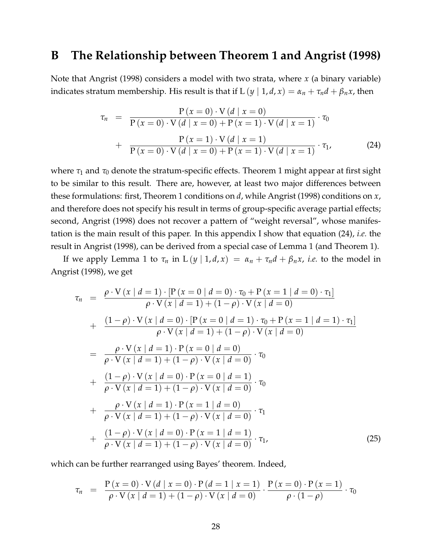#### <span id="page-29-0"></span>**B The Relationship between Theorem [1](#page-7-0) and [Angrist](#page-39-7) [\(1998\)](#page-39-7)**

Note that [Angrist](#page-39-7) [\(1998\)](#page-39-7) considers a model with two strata, where *x* (a binary variable) indicates stratum membership. His result is that if  $L(y | 1, d, x) = \alpha_n + \tau_n d + \beta_n x$ , then

<span id="page-29-1"></span>
$$
\tau_n = \frac{P(x=0) \cdot V(d \mid x=0)}{P(x=0) \cdot V(d \mid x=0) + P(x=1) \cdot V(d \mid x=1)} \cdot \tau_0
$$
  
+ 
$$
\frac{P(x=1) \cdot V(d \mid x=1)}{P(x=0) \cdot V(d \mid x=0) + P(x=1) \cdot V(d \mid x=1)} \cdot \tau_1,
$$
 (24)

where  $\tau_1$  and  $\tau_0$  denote the stratum-specific effects. Theorem [1](#page-7-0) might appear at first sight to be similar to this result. There are, however, at least two major differences between these formulations: first, Theorem [1](#page-7-0) conditions on *d*, while [Angrist](#page-39-7) [\(1998\)](#page-39-7) conditions on *x*, and therefore does not specify his result in terms of group-specific average partial effects; second, [Angrist](#page-39-7) [\(1998\)](#page-39-7) does not recover a pattern of "weight reversal", whose manifestation is the main result of this paper. In this appendix I show that equation [\(24\)](#page-29-1), *i.e.* the result in [Angrist](#page-39-7) [\(1998\)](#page-39-7), can be derived from a special case of Lemma [1](#page-27-2) (and Theorem [1\)](#page-7-0).

If we apply Lemma [1](#page-27-2) to  $\tau_n$  in L  $(y | 1, d, x) = \alpha_n + \tau_n d + \beta_n x$ , *i.e.* to the model in [Angrist](#page-39-7) [\(1998\)](#page-39-7), we get

$$
\tau_n = \frac{\rho \cdot V(x \mid d = 1) \cdot [P(x = 0 \mid d = 0) \cdot \tau_0 + P(x = 1 \mid d = 0) \cdot \tau_1]}{\rho \cdot V(x \mid d = 1) + (1 - \rho) \cdot V(x \mid d = 0)}
$$
  
+ 
$$
\frac{(1 - \rho) \cdot V(x \mid d = 0) \cdot [P(x = 0 \mid d = 1) \cdot \tau_0 + P(x = 1 \mid d = 1) \cdot \tau_1]}{\rho \cdot V(x \mid d = 1) + (1 - \rho) \cdot V(x \mid d = 0)}
$$
  
= 
$$
\frac{\rho \cdot V(x \mid d = 1) \cdot P(x = 0 \mid d = 0)}{\rho \cdot V(x \mid d = 1) + (1 - \rho) \cdot V(x \mid d = 0)} \cdot \tau_0}
$$
  
+ 
$$
\frac{(1 - \rho) \cdot V(x \mid d = 0) \cdot P(x = 0 \mid d = 1)}{\rho \cdot V(x \mid d = 1) + (1 - \rho) \cdot V(x \mid d = 0)} \cdot \tau_0}
$$
  
+ 
$$
\frac{\rho \cdot V(x \mid d = 1) \cdot P(x = 1 \mid d = 0)}{\rho \cdot V(x \mid d = 1) + (1 - \rho) \cdot V(x \mid d = 0)} \cdot \tau_1}
$$
  
+ 
$$
\frac{(1 - \rho) \cdot V(x \mid d = 0) \cdot P(x = 1 \mid d = 1)}{\rho \cdot V(x \mid d = 1) + (1 - \rho) \cdot V(x \mid d = 0)} \cdot \tau_1,
$$
(25)

which can be further rearranged using Bayes' theorem. Indeed,

<span id="page-29-2"></span>
$$
\tau_n = \frac{P(x=0) \cdot V(d \mid x=0) \cdot P(d=1 \mid x=1)}{\rho \cdot V(x \mid d=1) + (1-\rho) \cdot V(x \mid d=0)} \cdot \frac{P(x=0) \cdot P(x=1)}{\rho \cdot (1-\rho)} \cdot \tau_0
$$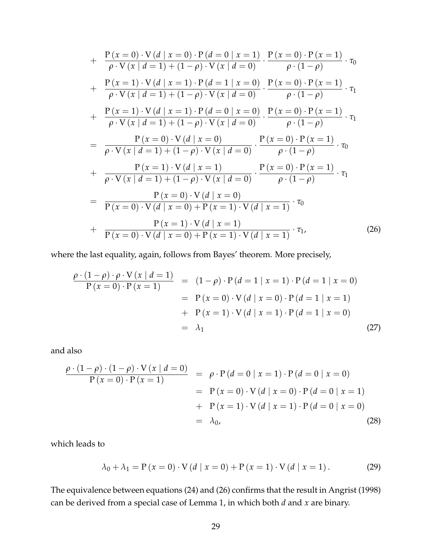+ 
$$
\frac{P(x = 0) \cdot V(d | x = 0) \cdot P(d = 0 | x = 1)}{\rho \cdot V(x | d = 1) + (1 - \rho) \cdot V(x | d = 0)}
$$
  $\cdot \frac{P(x = 0) \cdot P(x = 1)}{\rho \cdot (1 - \rho)}$   $\cdot \tau_0$   
+  $\frac{P(x = 1) \cdot V(d | x = 1) \cdot P(d = 1 | x = 0)}{\rho \cdot V(x | d = 1) + (1 - \rho) \cdot V(x | d = 0)}$   $\cdot \frac{P(x = 0) \cdot P(x = 1)}{\rho \cdot (1 - \rho)}$   $\cdot \tau_1$   
+  $\frac{P(x = 1) \cdot V(d | x = 1) \cdot P(d = 0 | x = 0)}{\rho \cdot V(x | d = 1) + (1 - \rho) \cdot V(x | d = 0)}$   $\cdot \frac{P(x = 0) \cdot P(x = 1)}{\rho \cdot (1 - \rho)}$   $\cdot \tau_1$   
=  $\frac{P(x = 0) \cdot V(d | x = 0)}{\rho \cdot V(x | d = 1) + (1 - \rho) \cdot V(x | d = 0)}$   $\cdot \frac{P(x = 0) \cdot P(x = 1)}{\rho \cdot (1 - \rho)}$   $\cdot \tau_0$   
+  $\frac{P(x = 1) \cdot V(d | x = 1)}{\rho \cdot V(x | d = 1) + (1 - \rho) \cdot V(x | d = 0)}$   $\cdot \frac{P(x = 0) \cdot P(x = 1)}{\rho \cdot (1 - \rho)}$   $\cdot \tau_1$   
=  $\frac{P(x = 0) \cdot V(d | x = 0)}{P(x = 0) \cdot V(d | x = 0) + P(x = 1) \cdot V(d | x = 1)}$   $\cdot \tau_0$   
+  $\frac{P(x = 1) \cdot V(d | x = 1)}{P(x = 0) \cdot V(d | x = 0) + P(x = 1) \cdot V(d | x = 1)}$   $\cdot \tau_1$ , (26)

where the last equality, again, follows from Bayes' theorem. More precisely,

$$
\frac{\rho \cdot (1 - \rho) \cdot \rho \cdot V(x \mid d = 1)}{P(x = 0) \cdot P(x = 1)} = (1 - \rho) \cdot P(d = 1 \mid x = 1) \cdot P(d = 1 \mid x = 0)
$$
  
=  $P(x = 0) \cdot V(d \mid x = 0) \cdot P(d = 1 \mid x = 1)$   
+  $P(x = 1) \cdot V(d \mid x = 1) \cdot P(d = 1 \mid x = 0)$   
=  $\lambda_1$  (27)

and also

$$
\frac{\rho \cdot (1 - \rho) \cdot (1 - \rho) \cdot V(x \mid d = 0)}{P(x = 0) \cdot P(x = 1)} = \rho \cdot P(d = 0 \mid x = 1) \cdot P(d = 0 \mid x = 0)
$$
  
=  $P(x = 0) \cdot V(d \mid x = 0) \cdot P(d = 0 \mid x = 1)$   
+  $P(x = 1) \cdot V(d \mid x = 1) \cdot P(d = 0 \mid x = 0)$   
=  $\lambda_0$ , (28)

which leads to

$$
\lambda_0 + \lambda_1 = P(x = 0) \cdot V(d \mid x = 0) + P(x = 1) \cdot V(d \mid x = 1).
$$
 (29)

The equivalence between equations [\(24\)](#page-29-1) and [\(26\)](#page-29-2) confirms that the result in [Angrist](#page-39-7) [\(1998\)](#page-39-7) can be derived from a special case of Lemma [1,](#page-27-2) in which both *d* and *x* are binary.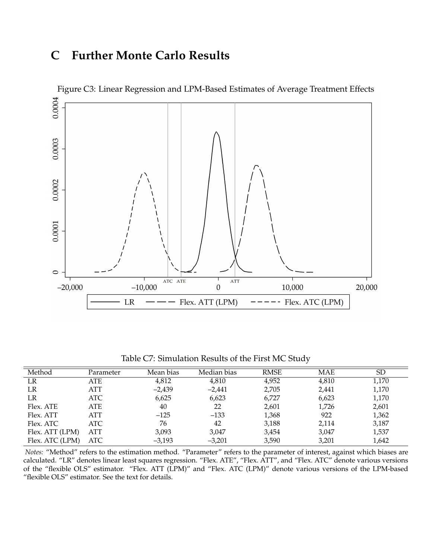## <span id="page-31-2"></span><span id="page-31-1"></span>**C Further Monte Carlo Results**



<span id="page-31-0"></span>Table C7: Simulation Results of the First MC Study

| Method          | Parameter  | Mean bias | Median bias | <b>RMSE</b> | MAE   | SD    |
|-----------------|------------|-----------|-------------|-------------|-------|-------|
| LR              | ATE        | 4,812     | 4,810       | 4,952       | 4,810 | 1,170 |
| LR              | <b>ATT</b> | $-2,439$  | $-2,441$    | 2,705       | 2,441 | 1,170 |
| LR              | ATC        | 6,625     | 6,623       | 6,727       | 6,623 | 1,170 |
| Flex. ATE       | ATE        | 40        | 22          | 2,601       | 1,726 | 2,601 |
| Flex. ATT       | ATT        | $-125$    | $-133$      | 1,368       | 922   | 1,362 |
| Flex. ATC       | ATC        | 76        | 42          | 3,188       | 2,114 | 3,187 |
| Flex. ATT (LPM) | <b>ATT</b> | 3,093     | 3.047       | 3,454       | 3,047 | 1,537 |
| Flex. ATC (LPM) | ATC        | $-3,193$  | $-3,201$    | 3,590       | 3,201 | 1,642 |

*Notes:* "Method" refers to the estimation method. "Parameter" refers to the parameter of interest, against which biases are calculated. "LR" denotes linear least squares regression. "Flex. ATE", "Flex. ATT", and "Flex. ATC" denote various versions of the "flexible OLS" estimator. "Flex. ATT (LPM)" and "Flex. ATC (LPM)" denote various versions of the LPM-based "flexible OLS" estimator. See the text for details.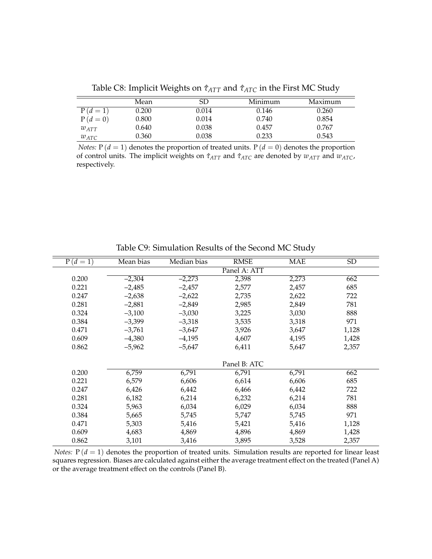|           | Mean  | SD    | Minimum | Maximum |
|-----------|-------|-------|---------|---------|
| $P(d=1)$  | 0.200 | 0.014 | 0.146   | 0.260   |
| $P(d=0)$  | 0.800 | 0.014 | 0.740   | 0.854   |
| $w_{ATT}$ | 0.640 | 0.038 | 0.457   | 0.767   |
| $w_{ATC}$ | 0.360 | 0.038 | 0.233   | 0.543   |

<span id="page-32-0"></span>Table C8: Implicit Weights on  $\hat{\tau}_{ATT}$  and  $\hat{\tau}_{ATC}$  in the First MC Study

*Notes:*  $P(d = 1)$  denotes the proportion of treated units.  $P(d = 0)$  denotes the proportion of control units. The implicit weights on *τ*ˆ*ATT* and *τ*ˆ*ATC* are denoted by *wATT* and *wATC*, respectively.

| Mean bias | Median bias | <b>RMSE</b>  | <b>MAE</b>   | <b>SD</b> |
|-----------|-------------|--------------|--------------|-----------|
|           |             | Panel A: ATT |              |           |
| $-2,304$  | $-2,273$    | 2,398        | 2,273        | 662       |
| $-2,485$  | $-2,457$    | 2,577        | 2,457        | 685       |
| $-2,638$  | $-2,622$    | 2,735        | 2,622        | 722       |
| $-2,881$  | $-2,849$    | 2,985        | 2,849        | 781       |
| $-3,100$  | $-3,030$    | 3,225        | 3,030        | 888       |
| $-3,399$  | $-3,318$    | 3,535        | 3,318        | 971       |
| $-3,761$  | $-3,647$    | 3,926        | 3,647        | 1,128     |
| $-4,380$  | $-4,195$    | 4,607        | 4,195        | 1,428     |
| $-5,962$  | $-5,647$    | 6,411        | 5,647        | 2,357     |
|           |             |              |              |           |
|           |             |              |              |           |
| 6,759     | 6,791       | 6,791        | 6,791        | 662       |
| 6,579     | 6,606       | 6,614        | 6,606        | 685       |
| 6,426     | 6,442       | 6,466        | 6,442        | 722       |
| 6,182     | 6,214       | 6,232        | 6,214        | 781       |
| 5,963     | 6,034       | 6,029        | 6,034        | 888       |
| 5,665     | 5,745       | 5,747        | 5,745        | 971       |
| 5,303     | 5,416       | 5,421        | 5,416        | 1,128     |
| 4,683     | 4,869       | 4,896        | 4,869        | 1,428     |
| 3,101     | 3,416       | 3,895        | 3,528        | 2,357     |
|           |             |              | Panel B: ATC |           |

<span id="page-32-1"></span>Table C9: Simulation Results of the Second MC Study

*Notes:*  $P(d = 1)$  denotes the proportion of treated units. Simulation results are reported for linear least squares regression. Biases are calculated against either the average treatment effect on the treated (Panel A) or the average treatment effect on the controls (Panel B).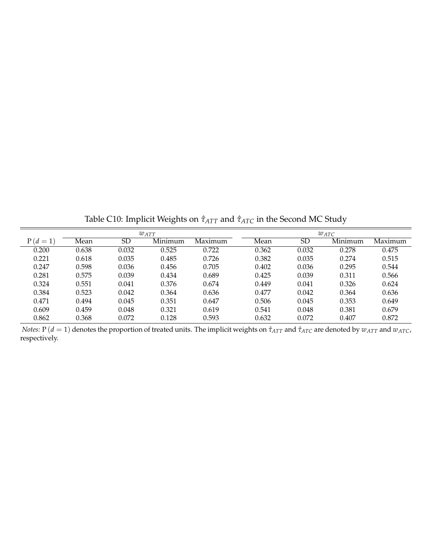|          | $w_{ATT}$ |       |         |         |       | $w_{ATC}$ |         |         |  |  |
|----------|-----------|-------|---------|---------|-------|-----------|---------|---------|--|--|
| $P(d=1)$ | Mean      | SD    | Minimum | Maximum | Mean  | SD        | Minimum | Maximum |  |  |
| 0.200    | 0.638     | 0.032 | 0.525   | 0.722   | 0.362 | 0.032     | 0.278   | 0.475   |  |  |
| 0.221    | 0.618     | 0.035 | 0.485   | 0.726   | 0.382 | 0.035     | 0.274   | 0.515   |  |  |
| 0.247    | 0.598     | 0.036 | 0.456   | 0.705   | 0.402 | 0.036     | 0.295   | 0.544   |  |  |
| 0.281    | 0.575     | 0.039 | 0.434   | 0.689   | 0.425 | 0.039     | 0.311   | 0.566   |  |  |
| 0.324    | 0.551     | 0.041 | 0.376   | 0.674   | 0.449 | 0.041     | 0.326   | 0.624   |  |  |
| 0.384    | 0.523     | 0.042 | 0.364   | 0.636   | 0.477 | 0.042     | 0.364   | 0.636   |  |  |
| 0.471    | 0.494     | 0.045 | 0.351   | 0.647   | 0.506 | 0.045     | 0.353   | 0.649   |  |  |
| 0.609    | 0.459     | 0.048 | 0.321   | 0.619   | 0.541 | 0.048     | 0.381   | 0.679   |  |  |
| 0.862    | 0.368     | 0.072 | 0.128   | 0.593   | 0.632 | 0.072     | 0.407   | 0.872   |  |  |

<span id="page-33-0"></span>Table C10: Implicit Weights on  $\hat{\tau}_{ATT}$  and  $\hat{\tau}_{ATC}$  in the Second MC Study

*Notes:*  $P(d = 1)$  denotes the proportion of treated units. The implicit weights on  $\hat{\tau}_{ATT}$  and  $\hat{\tau}_{ATC}$  are denoted by  $w_{ATT}$  and  $w_{ATC}$ , respectively.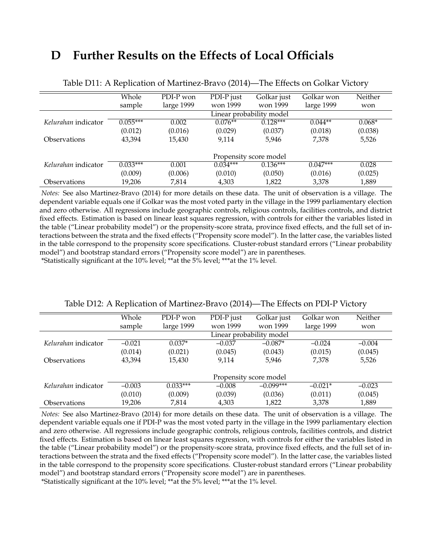## <span id="page-34-0"></span>**D Further Results on the Effects of Local Officials**

|                            | Whole      | PDI-P won  | PDI-P just               | Golkar just            | Golkar won | Neither  |  |  |  |  |
|----------------------------|------------|------------|--------------------------|------------------------|------------|----------|--|--|--|--|
|                            | sample     | large 1999 | won 1999                 | won 1999               | large 1999 | won      |  |  |  |  |
|                            |            |            | Linear probability model |                        |            |          |  |  |  |  |
| Kelurahan indicator        | $0.055***$ | 0.002      | $0.076**$                | $0.128***$             | $0.044**$  | $0.068*$ |  |  |  |  |
|                            | (0.012)    | (0.016)    | (0.029)                  | (0.037)                | (0.018)    | (0.038)  |  |  |  |  |
| <i><b>Observations</b></i> | 43,394     | 15,430     | 9,114                    | 5,946                  | 7,378      | 5,526    |  |  |  |  |
|                            |            |            |                          |                        |            |          |  |  |  |  |
|                            |            |            |                          | Propensity score model |            |          |  |  |  |  |
| Kelurahan indicator        | $0.033***$ | 0.001      | $0.034***$               | $0.136***$             | $0.047***$ | 0.028    |  |  |  |  |
|                            | (0.009)    | (0.006)    | (0.010)                  | (0.050)                | (0.016)    | (0.025)  |  |  |  |  |
| <i><b>Observations</b></i> | 19,206     | 7,814      | 4,303                    | 1,822                  | 3,378      | 1,889    |  |  |  |  |

<span id="page-34-1"></span>Table D11: A Replication of [Martinez-Bravo](#page-42-2) [\(2014\)](#page-42-2)—The Effects on Golkar Victory

*Notes:* See also [Martinez-Bravo](#page-42-2) [\(2014\)](#page-42-2) for more details on these data. The unit of observation is a village. The dependent variable equals one if Golkar was the most voted party in the village in the 1999 parliamentary election and zero otherwise. All regressions include geographic controls, religious controls, facilities controls, and district fixed effects. Estimation is based on linear least squares regression, with controls for either the variables listed in the table ("Linear probability model") or the propensity-score strata, province fixed effects, and the full set of interactions between the strata and the fixed effects ("Propensity score model"). In the latter case, the variables listed in the table correspond to the propensity score specifications. Cluster-robust standard errors ("Linear probability model") and bootstrap standard errors ("Propensity score model") are in parentheses.

\*Statistically significant at the 10% level; \*\*at the 5% level; \*\*\*at the 1% level.

|                            | Whole    | PDI-P won  | PDI-P just | Golkar just              | Golkar won | Neither  |
|----------------------------|----------|------------|------------|--------------------------|------------|----------|
|                            | sample   | large 1999 | won 1999   | won 1999                 | large 1999 | won      |
|                            |          |            |            | Linear probability model |            |          |
| Kelurahan indicator        | $-0.021$ | $0.037*$   | $-0.037$   | $-0.087*$                | $-0.024$   | $-0.004$ |
|                            | (0.014)  | (0.021)    | (0.045)    | (0.043)                  | (0.015)    | (0.045)  |
| <i><b>Observations</b></i> | 43,394   | 15,430     | 9,114      | 5.946                    | 7,378      | 5,526    |
|                            |          |            |            | Propensity score model   |            |          |
| Kelurahan indicator        | $-0.003$ | $0.033***$ | $-0.008$   | $-0.099***$              | $-0.021*$  | $-0.023$ |
|                            | (0.010)  | (0.009)    | (0.039)    | (0.036)                  | (0.011)    | (0.045)  |
| Observations               | 19.206   | 7,814      | 4,303      | 1,822                    | 3,378      | 1,889    |

<span id="page-34-2"></span>

| Table D12: A Replication of Martinez-Bravo (2014)—The Effects on PDI-P Victory |  |  |  |
|--------------------------------------------------------------------------------|--|--|--|
|                                                                                |  |  |  |

*Notes:* See also [Martinez-Bravo](#page-42-2) [\(2014\)](#page-42-2) for more details on these data. The unit of observation is a village. The dependent variable equals one if PDI-P was the most voted party in the village in the 1999 parliamentary election and zero otherwise. All regressions include geographic controls, religious controls, facilities controls, and district fixed effects. Estimation is based on linear least squares regression, with controls for either the variables listed in the table ("Linear probability model") or the propensity-score strata, province fixed effects, and the full set of interactions between the strata and the fixed effects ("Propensity score model"). In the latter case, the variables listed in the table correspond to the propensity score specifications. Cluster-robust standard errors ("Linear probability model") and bootstrap standard errors ("Propensity score model") are in parentheses.

\*Statistically significant at the 10% level; \*\*at the 5% level; \*\*\*at the 1% level.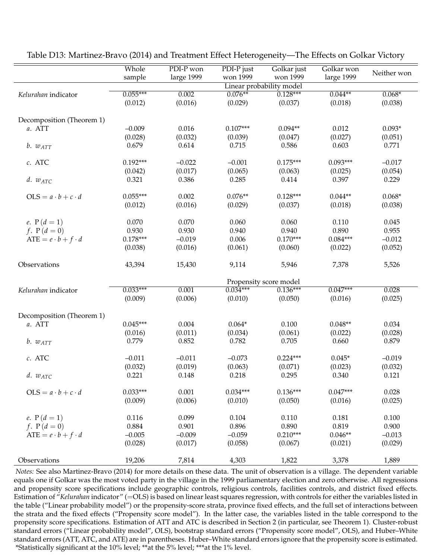|                               | Whole<br>sample | PDI-P won<br>large 1999 | PDI-P just<br>won 1999 | Golkar just<br>won 1999  | Golkar won<br>large 1999 | Neither won |
|-------------------------------|-----------------|-------------------------|------------------------|--------------------------|--------------------------|-------------|
|                               |                 |                         |                        | Linear probability model |                          |             |
| Kelurahan indicator           | $0.055***$      | 0.002                   | $0.076**$              | $0.128***$               | $0.044**$                | $0.068*$    |
|                               | (0.012)         | (0.016)                 | (0.029)                | (0.037)                  | (0.018)                  | (0.038)     |
| Decomposition (Theorem 1)     |                 |                         |                        |                          |                          |             |
| a. ATT                        | $-0.009$        | 0.016                   | $0.107***$             | $0.094**$                | 0.012                    | $0.093*$    |
|                               | (0.028)         | (0.032)                 | (0.039)                | (0.047)                  | (0.027)                  | (0.051)     |
| $b. w_{ATT}$                  | 0.679           | 0.614                   | 0.715                  | 0.586                    | 0.603                    | 0.771       |
| c. ATC                        | $0.192***$      | $-0.022$                | $-0.001$               | $0.175***$               | $0.093***$               | $-0.017$    |
|                               | (0.042)         | (0.017)                 | (0.065)                | (0.063)                  | (0.025)                  | (0.054)     |
| $d. w_{ATC}$                  | 0.321           | 0.386                   | 0.285                  | 0.414                    | 0.397                    | 0.229       |
| $OLS = a \cdot b + c \cdot d$ | $0.055***$      | 0.002                   | $0.076**$              | $0.128***$               | $0.044**$                | $0.068*$    |
|                               | (0.012)         | (0.016)                 | (0.029)                | (0.037)                  | (0.018)                  | (0.038)     |
| <i>e</i> . $P(d = 1)$         | 0.070           | 0.070                   | 0.060                  | 0.060                    | 0.110                    | 0.045       |
| f. $P(d = 0)$                 | 0.930           | 0.930                   | 0.940                  | 0.940                    | 0.890                    | 0.955       |
| $ATE = e \cdot b + f \cdot d$ | $0.178***$      | $-0.019$                | 0.006                  | $0.170***$               | $0.084***$               | $-0.012$    |
|                               | (0.038)         | (0.016)                 | (0.061)                | (0.060)                  | (0.022)                  | (0.052)     |
| Observations                  | 43,394          | 15,430                  | 9,114                  | 5,946                    | 7,378                    | 5,526       |
|                               |                 |                         |                        | Propensity score model   |                          |             |
| Kelurahan indicator           | $0.033***$      | 0.001                   | $0.034***$             | $0.136***$               | $0.047***$               | 0.028       |
|                               | (0.009)         | (0.006)                 | (0.010)                | (0.050)                  | (0.016)                  | (0.025)     |
| Decomposition (Theorem 1)     |                 |                         |                        |                          |                          |             |
| a. ATT                        | $0.045***$      | 0.004                   | $0.064*$               | 0.100                    | $0.048**$                | 0.034       |
|                               | (0.016)         | (0.011)                 | (0.034)                | (0.061)                  | (0.022)                  | (0.028)     |
| $b. w_{ATT}$                  | 0.779           | 0.852                   | 0.782                  | 0.705                    | 0.660                    | 0.879       |
| c. ATC                        | $-0.011$        | $-0.011$                | $-0.073$               | $0.224***$               | $0.045*$                 | $-0.019$    |
|                               | (0.032)         | (0.019)                 | (0.063)                | (0.071)                  | (0.023)                  | (0.032)     |
| $d. w_{ATC}$                  | 0.221           | 0.148                   | 0.218                  | 0.295                    | 0.340                    | 0.121       |
| $OLS = a \cdot b + c \cdot d$ | $0.033***$      | 0.001                   | $0.034***$             | $0.136***$               | $0.047***$               | 0.028       |
|                               | (0.009)         | (0.006)                 | (0.010)                | (0.050)                  | (0.016)                  | (0.025)     |
| e. $P(d = 1)$                 | 0.116           | 0.099                   | 0.104                  | 0.110                    | 0.181                    | 0.100       |
| f. $P(d = 0)$                 | 0.884           | 0.901                   | 0.896                  | 0.890                    | 0.819                    | 0.900       |
| $ATE = e \cdot b + f \cdot d$ | $-0.005$        | $-0.009$                | $-0.059$               | $0.210***$               | $0.046**$                | $-0.013$    |
|                               | (0.028)         | (0.017)                 | (0.058)                | (0.067)                  | (0.021)                  | (0.029)     |
| Observations                  | 19,206          | 7,814                   | 4,303                  | 1,822                    | 3,378                    | 1,889       |

<span id="page-35-0"></span>Table D13: [Martinez-Bravo](#page-42-2) [\(2014\)](#page-42-2) and Treatment Effect Heterogeneity—The Effects on Golkar Victory

*Notes:* See also [Martinez-Bravo](#page-42-2) [\(2014\)](#page-42-2) for more details on these data. The unit of observation is a village. The dependent variable equals one if Golkar was the most voted party in the village in the 1999 parliamentary election and zero otherwise. All regressions and propensity score specifications include geographic controls, religious controls, facilities controls, and district fixed effects. Estimation of "*Kelurahan* indicator" (=OLS) is based on linear least squares regression, with controls for either the variables listed in the table ("Linear probability model") or the propensity-score strata, province fixed effects, and the full set of interactions between the strata and the fixed effects ("Propensity score model"). In the latter case, the variables listed in the table correspond to the propensity score specifications. Estimation of ATT and ATC is described in Section [2](#page-6-6) (in particular, see Theorem [1\)](#page-7-0). Cluster-robust standard errors ("Linear probability model", OLS), bootstrap standard errors ("Propensity score model", OLS), and Huber–White standard errors (ATT, ATC, and ATE) are in parentheses. Huber–White standard errors ignore that the propensity score is estimated. \*Statistically significant at the 10% level; \*\*at the 5% level; \*\*\*at the 1% level.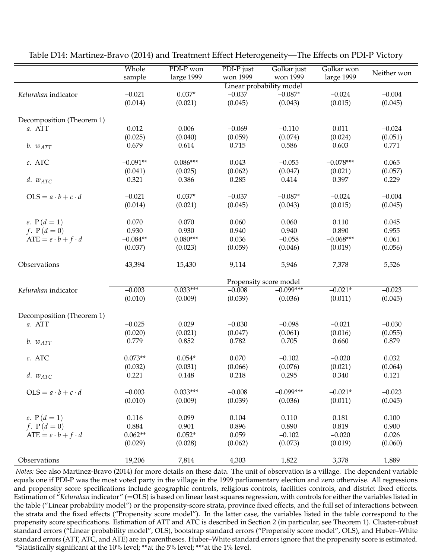|                               | Whole      | PDI-P won  | PDI-P just | Golkar just              | Golkar won  |             |
|-------------------------------|------------|------------|------------|--------------------------|-------------|-------------|
|                               | sample     | large 1999 | won 1999   | won 1999                 | large 1999  | Neither won |
|                               |            |            |            | Linear probability model |             |             |
| Kelurahan indicator           | $-0.021$   | $0.037*$   | $-0.037$   | $-0.087*$                | $-0.024$    | $-0.004$    |
|                               | (0.014)    |            | (0.045)    | (0.043)                  | (0.015)     | (0.045)     |
|                               |            | (0.021)    |            |                          |             |             |
|                               |            |            |            |                          |             |             |
| Decomposition (Theorem 1)     |            |            |            |                          |             |             |
| a. ATT                        | 0.012      | 0.006      | $-0.069$   | $-0.110$                 | 0.011       | $-0.024$    |
|                               | (0.025)    | (0.040)    | (0.059)    | (0.074)                  | (0.024)     | (0.051)     |
| $b. w_{ATT}$                  | 0.679      | 0.614      | 0.715      | 0.586                    | 0.603       | 0.771       |
|                               |            |            |            |                          |             |             |
| c. ATC                        | $-0.091**$ | $0.086***$ | 0.043      | $-0.055$                 | $-0.078***$ | 0.065       |
|                               | (0.041)    | (0.025)    | (0.062)    | (0.047)                  | (0.021)     | (0.057)     |
| $d. w_{ATC}$                  | 0.321      | 0.386      | 0.285      | 0.414                    | 0.397       | 0.229       |
|                               |            |            |            |                          |             |             |
| $OLS = a \cdot b + c \cdot d$ | $-0.021$   | $0.037*$   | $-0.037$   | $-0.087*$                | $-0.024$    | $-0.004$    |
|                               | (0.014)    | (0.021)    | (0.045)    | (0.043)                  | (0.015)     | (0.045)     |
|                               |            |            |            |                          |             |             |
| e. $P(d = 1)$                 | 0.070      | 0.070      | 0.060      | 0.060                    | 0.110       | 0.045       |
| f. $P(d = 0)$                 | 0.930      | 0.930      | 0.940      | 0.940                    | 0.890       | 0.955       |
| $ATE = e \cdot b + f \cdot d$ | $-0.084**$ | $0.080***$ | 0.036      | $-0.058$                 | $-0.068***$ | 0.061       |
|                               | (0.037)    | (0.023)    | (0.059)    | (0.046)                  | (0.019)     | (0.056)     |
|                               |            |            |            |                          |             |             |
| Observations                  | 43,394     | 15,430     | 9,114      | 5,946                    | 7,378       | 5,526       |
|                               |            |            |            | Propensity score model   |             |             |
| Kelurahan indicator           | $-0.003$   | $0.033***$ | $-0.008$   | $-0.099***$              | $-0.021*$   | $-0.023$    |
|                               |            |            |            |                          |             |             |
|                               | (0.010)    | (0.009)    | (0.039)    | (0.036)                  | (0.011)     | (0.045)     |
| Decomposition (Theorem 1)     |            |            |            |                          |             |             |
| a. ATT                        | $-0.025$   | 0.029      | $-0.030$   | $-0.098$                 | $-0.021$    | $-0.030$    |
|                               |            |            |            |                          |             |             |
|                               | (0.020)    | (0.021)    | (0.047)    | (0.061)                  | (0.016)     | (0.055)     |
| $b. w_{ATT}$                  | 0.779      | 0.852      | 0.782      | 0.705                    | 0.660       | 0.879       |
| c. ATC                        | $0.073**$  | $0.054*$   | 0.070      | $-0.102$                 | $-0.020$    | 0.032       |
|                               | (0.032)    |            |            |                          |             |             |
|                               |            | (0.031)    | (0.066)    | (0.076)                  | (0.021)     | (0.064)     |
| $d. w_{ATC}$                  | 0.221      | 0.148      | 0.218      | 0.295                    | 0.340       | 0.121       |
| $OLS = a \cdot b + c \cdot d$ | $-0.003$   | $0.033***$ | $-0.008$   | $-0.099***$              | $-0.021*$   | $-0.023$    |
|                               |            |            |            |                          |             |             |
|                               | (0.010)    | (0.009)    | (0.039)    | (0.036)                  | (0.011)     | (0.045)     |
| e. $P(d = 1)$                 | 0.116      | 0.099      | 0.104      | 0.110                    | 0.181       | 0.100       |
| f. $P(d = 0)$                 | 0.884      | 0.901      | 0.896      | 0.890                    | 0.819       | 0.900       |
|                               |            |            |            |                          |             |             |
| $ATE = e \cdot b + f \cdot d$ | $0.062**$  | $0.052*$   | 0.059      | $-0.102$                 | $-0.020$    | 0.026       |
|                               | (0.029)    | (0.028)    | (0.062)    | (0.073)                  | (0.019)     | (0.060)     |
| Observations                  | 19,206     | 7,814      | 4,303      | 1,822                    | 3,378       | 1,889       |
|                               |            |            |            |                          |             |             |

<span id="page-36-0"></span>Table D14: [Martinez-Bravo](#page-42-2) [\(2014\)](#page-42-2) and Treatment Effect Heterogeneity—The Effects on PDI-P Victory

*Notes:* See also [Martinez-Bravo](#page-42-2) [\(2014\)](#page-42-2) for more details on these data. The unit of observation is a village. The dependent variable equals one if PDI-P was the most voted party in the village in the 1999 parliamentary election and zero otherwise. All regressions and propensity score specifications include geographic controls, religious controls, facilities controls, and district fixed effects. Estimation of "*Kelurahan* indicator" (=OLS) is based on linear least squares regression, with controls for either the variables listed in the table ("Linear probability model") or the propensity-score strata, province fixed effects, and the full set of interactions between the strata and the fixed effects ("Propensity score model"). In the latter case, the variables listed in the table correspond to the propensity score specifications. Estimation of ATT and ATC is described in Section [2](#page-6-6) (in particular, see Theorem [1\)](#page-7-0). Cluster-robust standard errors ("Linear probability model", OLS), bootstrap standard errors ("Propensity score model", OLS), and Huber–White standard errors (ATT, ATC, and ATE) are in parentheses. Huber–White standard errors ignore that the propensity score is estimated. \*Statistically significant at the 10% level; \*\*at the 5% level; \*\*\*at the 1% level.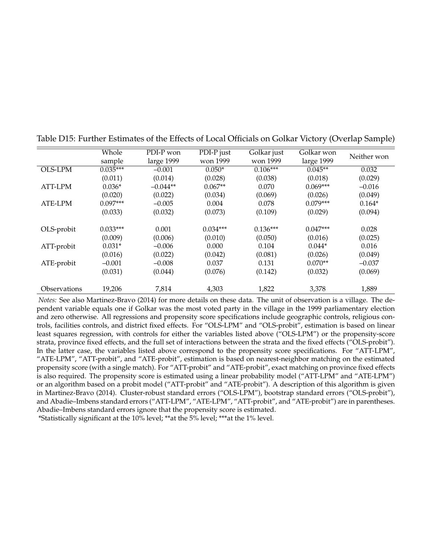|                | Whole      | PDI-P won  | PDI-P just | Golkar just | Golkar won | Neither won |  |
|----------------|------------|------------|------------|-------------|------------|-------------|--|
|                | sample     | large 1999 | won 1999   | won 1999    | large 1999 |             |  |
| <b>OLS-LPM</b> | $0.035***$ | $-0.001$   | $0.050*$   | $0.106***$  | $0.045**$  | 0.032       |  |
|                | (0.011)    | (0.014)    | (0.028)    | (0.038)     | (0.018)    | (0.029)     |  |
| ATT-LPM        | $0.036*$   | $-0.044**$ | $0.067**$  | 0.070       | $0.069***$ | $-0.016$    |  |
|                | (0.020)    | (0.022)    | (0.034)    | (0.069)     | (0.026)    | (0.049)     |  |
| ATE-LPM        | $0.097***$ | $-0.005$   | 0.004      | 0.078       | $0.079***$ | $0.164*$    |  |
|                | (0.033)    | (0.032)    | (0.073)    | (0.109)     | (0.029)    | (0.094)     |  |
|                |            |            |            |             |            |             |  |
| OLS-probit     | $0.033***$ | 0.001      | $0.034***$ | $0.136***$  | $0.047***$ | 0.028       |  |
|                | (0.009)    | (0.006)    | (0.010)    | (0.050)     | (0.016)    | (0.025)     |  |
| ATT-probit     | $0.031*$   | $-0.006$   | 0.000      | 0.104       | $0.044*$   | 0.016       |  |
|                | (0.016)    | (0.022)    | (0.042)    | (0.081)     | (0.026)    | (0.049)     |  |
| ATE-probit     | $-0.001$   | $-0.008$   | 0.037      | 0.131       | $0.070**$  | $-0.037$    |  |
|                | (0.031)    | (0.044)    | (0.076)    | (0.142)     | (0.032)    | (0.069)     |  |
|                |            |            |            |             |            |             |  |
| Observations   | 19,206     | 7,814      | 4,303      | 1,822       | 3,378      | 1,889       |  |

<span id="page-37-0"></span>Table D15: Further Estimates of the Effects of Local Officials on Golkar Victory (Overlap Sample)

*Notes:* See also [Martinez-Bravo](#page-42-2) [\(2014\)](#page-42-2) for more details on these data. The unit of observation is a village. The dependent variable equals one if Golkar was the most voted party in the village in the 1999 parliamentary election and zero otherwise. All regressions and propensity score specifications include geographic controls, religious controls, facilities controls, and district fixed effects. For "OLS-LPM" and "OLS-probit", estimation is based on linear least squares regression, with controls for either the variables listed above ("OLS-LPM") or the propensity-score strata, province fixed effects, and the full set of interactions between the strata and the fixed effects ("OLS-probit"). In the latter case, the variables listed above correspond to the propensity score specifications. For "ATT-LPM", "ATE-LPM", "ATT-probit", and "ATE-probit", estimation is based on nearest-neighbor matching on the estimated propensity score (with a single match). For "ATT-probit" and "ATE-probit", exact matching on province fixed effects is also required. The propensity score is estimated using a linear probability model ("ATT-LPM" and "ATE-LPM") or an algorithm based on a probit model ("ATT-probit" and "ATE-probit"). A description of this algorithm is given in [Martinez-Bravo](#page-42-2) [\(2014\)](#page-42-2). Cluster-robust standard errors ("OLS-LPM"), bootstrap standard errors ("OLS-probit"), and Abadie–Imbens standard errors ("ATT-LPM", "ATE-LPM", "ATT-probit", and "ATE-probit") are in parentheses. Abadie–Imbens standard errors ignore that the propensity score is estimated.

\*Statistically significant at the 10% level; \*\*at the 5% level; \*\*\*at the 1% level.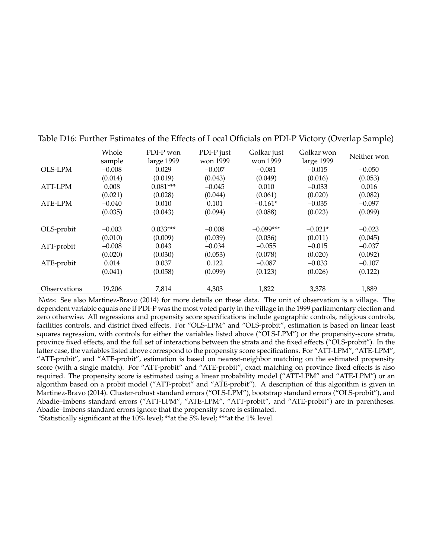|                     | Whole    | PDI-P won  | PDI-P just | Golkar just | Golkar won | Neither won |  |
|---------------------|----------|------------|------------|-------------|------------|-------------|--|
|                     | sample   | large 1999 | won 1999   | won 1999    | large 1999 |             |  |
| OLS-LPM             | $-0.008$ | 0.029      | $-0.007$   | $-0.081$    | $-0.015$   | $-0.050$    |  |
|                     | (0.014)  | (0.019)    | (0.043)    | (0.049)     | (0.016)    | (0.053)     |  |
| ATT-LPM             | 0.008    | $0.081***$ | $-0.045$   | 0.010       | $-0.033$   | 0.016       |  |
|                     | (0.021)  | (0.028)    | (0.044)    | (0.061)     | (0.020)    | (0.082)     |  |
| ATE-LPM             | $-0.040$ | 0.010      | 0.101      | $-0.161*$   | $-0.035$   | $-0.097$    |  |
|                     | (0.035)  | (0.043)    | (0.094)    | (0.088)     | (0.023)    | (0.099)     |  |
|                     |          |            |            |             |            |             |  |
| OLS-probit          | $-0.003$ | $0.033***$ | $-0.008$   | $-0.099***$ | $-0.021*$  | $-0.023$    |  |
|                     | (0.010)  | (0.009)    | (0.039)    | (0.036)     | (0.011)    | (0.045)     |  |
| ATT-probit          | $-0.008$ | 0.043      | $-0.034$   | $-0.055$    | $-0.015$   | $-0.037$    |  |
|                     | (0.020)  | (0.030)    | (0.053)    | (0.078)     | (0.020)    | (0.092)     |  |
| ATE-probit          | 0.014    | 0.037      | 0.122      | $-0.087$    | $-0.033$   | $-0.107$    |  |
|                     | (0.041)  | (0.058)    | (0.099)    | (0.123)     | (0.026)    | (0.122)     |  |
|                     |          |            |            |             |            |             |  |
| <b>Observations</b> | 19,206   | 7,814      | 4,303      | 1,822       | 3,378      | 1,889       |  |

<span id="page-38-0"></span>Table D16: Further Estimates of the Effects of Local Officials on PDI-P Victory (Overlap Sample)

*Notes:* See also [Martinez-Bravo](#page-42-2) [\(2014\)](#page-42-2) for more details on these data. The unit of observation is a village. The dependent variable equals one if PDI-P was the most voted party in the village in the 1999 parliamentary election and zero otherwise. All regressions and propensity score specifications include geographic controls, religious controls, facilities controls, and district fixed effects. For "OLS-LPM" and "OLS-probit", estimation is based on linear least squares regression, with controls for either the variables listed above ("OLS-LPM") or the propensity-score strata, province fixed effects, and the full set of interactions between the strata and the fixed effects ("OLS-probit"). In the latter case, the variables listed above correspond to the propensity score specifications. For "ATT-LPM", "ATE-LPM", "ATT-probit", and "ATE-probit", estimation is based on nearest-neighbor matching on the estimated propensity score (with a single match). For "ATT-probit" and "ATE-probit", exact matching on province fixed effects is also required. The propensity score is estimated using a linear probability model ("ATT-LPM" and "ATE-LPM") or an algorithm based on a probit model ("ATT-probit" and "ATE-probit"). A description of this algorithm is given in [Martinez-Bravo](#page-42-2) [\(2014\)](#page-42-2). Cluster-robust standard errors ("OLS-LPM"), bootstrap standard errors ("OLS-probit"), and Abadie–Imbens standard errors ("ATT-LPM", "ATE-LPM", "ATT-probit", and "ATE-probit") are in parentheses. Abadie–Imbens standard errors ignore that the propensity score is estimated.

\*Statistically significant at the 10% level; \*\*at the 5% level; \*\*\*at the 1% level.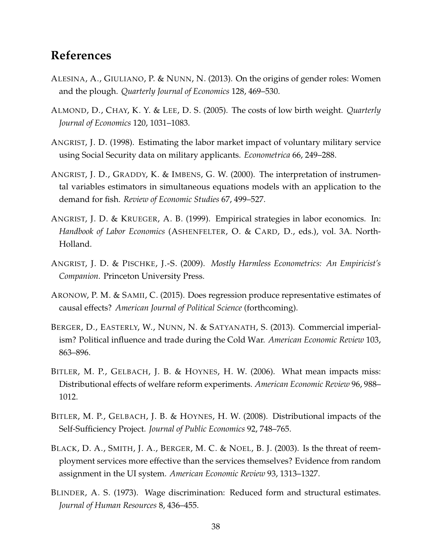## **References**

- <span id="page-39-4"></span>ALESINA, A., GIULIANO, P. & NUNN, N. (2013). On the origins of gender roles: Women and the plough. *Quarterly Journal of Economics* 128, 469–530.
- <span id="page-39-3"></span>ALMOND, D., CHAY, K. Y. & LEE, D. S. (2005). The costs of low birth weight. *Quarterly Journal of Economics* 120, 1031–1083.
- <span id="page-39-7"></span>ANGRIST, J. D. (1998). Estimating the labor market impact of voluntary military service using Social Security data on military applicants. *Econometrica* 66, 249–288.
- <span id="page-39-6"></span>ANGRIST, J. D., GRADDY, K. & IMBENS, G. W. (2000). The interpretation of instrumental variables estimators in simultaneous equations models with an application to the demand for fish. *Review of Economic Studies* 67, 499–527.
- <span id="page-39-8"></span>ANGRIST, J. D. & KRUEGER, A. B. (1999). Empirical strategies in labor economics. In: *Handbook of Labor Economics* (ASHENFELTER, O. & CARD, D., eds.), vol. 3A. North-Holland.
- <span id="page-39-10"></span>ANGRIST, J. D. & PISCHKE, J.-S. (2009). *Mostly Harmless Econometrics: An Empiricist's Companion*. Princeton University Press.
- <span id="page-39-9"></span>ARONOW, P. M. & SAMII, C. (2015). Does regression produce representative estimates of causal effects? *American Journal of Political Science* (forthcoming).
- <span id="page-39-5"></span>BERGER, D., EASTERLY, W., NUNN, N. & SATYANATH, S. (2013). Commercial imperialism? Political influence and trade during the Cold War. *American Economic Review* 103, 863–896.
- <span id="page-39-0"></span>BITLER, M. P., GELBACH, J. B. & HOYNES, H. W. (2006). What mean impacts miss: Distributional effects of welfare reform experiments. *American Economic Review* 96, 988– 1012.
- <span id="page-39-1"></span>BITLER, M. P., GELBACH, J. B. & HOYNES, H. W. (2008). Distributional impacts of the Self-Sufficiency Project. *Journal of Public Economics* 92, 748–765.
- <span id="page-39-2"></span>BLACK, D. A., SMITH, J. A., BERGER, M. C. & NOEL, B. J. (2003). Is the threat of reemployment services more effective than the services themselves? Evidence from random assignment in the UI system. *American Economic Review* 93, 1313–1327.
- <span id="page-39-11"></span>BLINDER, A. S. (1973). Wage discrimination: Reduced form and structural estimates. *Journal of Human Resources* 8, 436–455.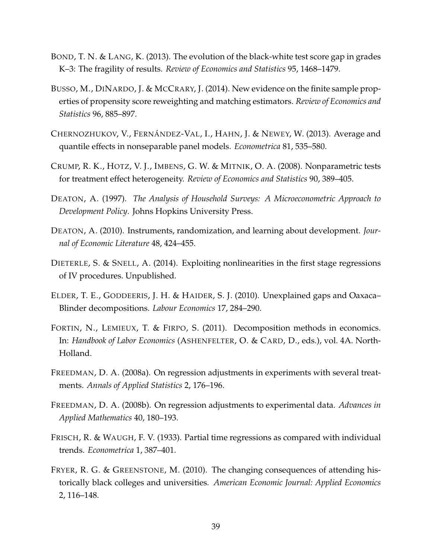- <span id="page-40-2"></span>BOND, T. N. & LANG, K. (2013). The evolution of the black-white test score gap in grades K–3: The fragility of results. *Review of Economics and Statistics* 95, 1468–1479.
- <span id="page-40-6"></span>BUSSO, M., DINARDO, J. & MCCRARY, J. (2014). New evidence on the finite sample properties of propensity score reweighting and matching estimators. *Review of Economics and Statistics* 96, 885–897.
- <span id="page-40-3"></span>CHERNOZHUKOV, V., FERNÁNDEZ-VAL, I., HAHN, J. & NEWEY, W. (2013). Average and quantile effects in nonseparable panel models. *Econometrica* 81, 535–580.
- <span id="page-40-10"></span>CRUMP, R. K., HOTZ, V. J., IMBENS, G. W. & MITNIK, O. A. (2008). Nonparametric tests for treatment effect heterogeneity. *Review of Economics and Statistics* 90, 389–405.
- <span id="page-40-5"></span>DEATON, A. (1997). *The Analysis of Household Surveys: A Microeconometric Approach to Development Policy*. Johns Hopkins University Press.
- <span id="page-40-9"></span>DEATON, A. (2010). Instruments, randomization, and learning about development. *Journal of Economic Literature* 48, 424–455.
- <span id="page-40-4"></span>DIETERLE, S. & SNELL, A. (2014). Exploiting nonlinearities in the first stage regressions of IV procedures. Unpublished.
- <span id="page-40-0"></span>ELDER, T. E., GODDEERIS, J. H. & HAIDER, S. J. (2010). Unexplained gaps and Oaxaca– Blinder decompositions. *Labour Economics* 17, 284–290.
- <span id="page-40-12"></span>FORTIN, N., LEMIEUX, T. & FIRPO, S. (2011). Decomposition methods in economics. In: *Handbook of Labor Economics* (ASHENFELTER, O. & CARD, D., eds.), vol. 4A. North-Holland.
- <span id="page-40-7"></span>FREEDMAN, D. A. (2008a). On regression adjustments in experiments with several treatments. *Annals of Applied Statistics* 2, 176–196.
- <span id="page-40-8"></span>FREEDMAN, D. A. (2008b). On regression adjustments to experimental data. *Advances in Applied Mathematics* 40, 180–193.
- <span id="page-40-11"></span>FRISCH, R. & WAUGH, F. V. (1933). Partial time regressions as compared with individual trends. *Econometrica* 1, 387–401.
- <span id="page-40-1"></span>FRYER, R. G. & GREENSTONE, M. (2010). The changing consequences of attending historically black colleges and universities. *American Economic Journal: Applied Economics* 2, 116–148.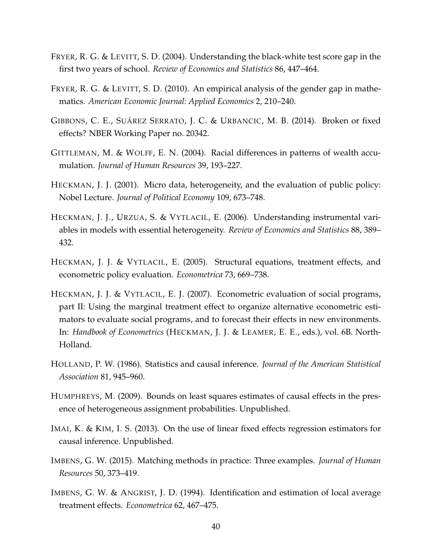- <span id="page-41-2"></span>FRYER, R. G. & LEVITT, S. D. (2004). Understanding the black-white test score gap in the first two years of school. *Review of Economics and Statistics* 86, 447–464.
- <span id="page-41-4"></span>FRYER, R. G. & LEVITT, S. D. (2010). An empirical analysis of the gender gap in mathematics. *American Economic Journal: Applied Economics* 2, 210–240.
- <span id="page-41-6"></span>GIBBONS, C. E., SUÁREZ SERRATO, J. C. & URBANCIC, M. B. (2014). Broken or fixed effects? NBER Working Paper no. 20342.
- <span id="page-41-3"></span>GITTLEMAN, M. & WOLFF, E. N. (2004). Racial differences in patterns of wealth accumulation. *Journal of Human Resources* 39, 193–227.
- <span id="page-41-1"></span>HECKMAN, J. J. (2001). Micro data, heterogeneity, and the evaluation of public policy: Nobel Lecture. *Journal of Political Economy* 109, 673–748.
- <span id="page-41-10"></span>HECKMAN, J. J., URZUA, S. & VYTLACIL, E. (2006). Understanding instrumental variables in models with essential heterogeneity. *Review of Economics and Statistics* 88, 389– 432.
- <span id="page-41-9"></span>HECKMAN, J. J. & VYTLACIL, E. (2005). Structural equations, treatment effects, and econometric policy evaluation. *Econometrica* 73, 669–738.
- <span id="page-41-11"></span>HECKMAN, J. J. & VYTLACIL, E. J. (2007). Econometric evaluation of social programs, part II: Using the marginal treatment effect to organize alternative econometric estimators to evaluate social programs, and to forecast their effects in new environments. In: *Handbook of Econometrics* (HECKMAN, J. J. & LEAMER, E. E., eds.), vol. 6B. North-Holland.
- <span id="page-41-12"></span>HOLLAND, P. W. (1986). Statistics and causal inference. *Journal of the American Statistical Association* 81, 945–960.
- <span id="page-41-8"></span>HUMPHREYS, M. (2009). Bounds on least squares estimates of causal effects in the presence of heterogeneous assignment probabilities. Unpublished.
- <span id="page-41-5"></span>IMAI, K. & KIM, I. S. (2013). On the use of linear fixed effects regression estimators for causal inference. Unpublished.
- <span id="page-41-0"></span>IMBENS, G. W. (2015). Matching methods in practice: Three examples. *Journal of Human Resources* 50, 373–419.
- <span id="page-41-7"></span>IMBENS, G. W. & ANGRIST, J. D. (1994). Identification and estimation of local average treatment effects. *Econometrica* 62, 467–475.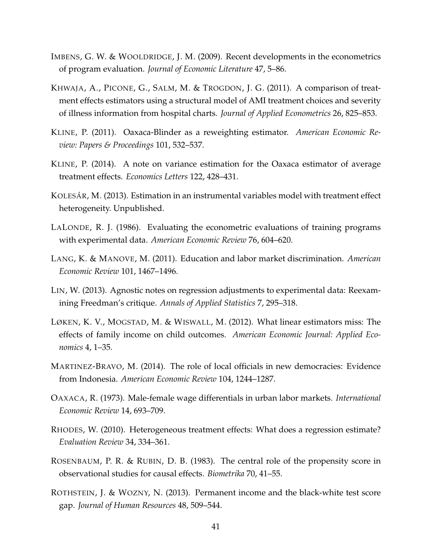- <span id="page-42-7"></span>IMBENS, G. W. & WOOLDRIDGE, J. M. (2009). Recent developments in the econometrics of program evaluation. *Journal of Economic Literature* 47, 5–86.
- <span id="page-42-10"></span>KHWAJA, A., PICONE, G., SALM, M. & TROGDON, J. G. (2011). A comparison of treatment effects estimators using a structural model of AMI treatment choices and severity of illness information from hospital charts. *Journal of Applied Econometrics* 26, 825–853.
- <span id="page-42-8"></span>KLINE, P. (2011). Oaxaca-Blinder as a reweighting estimator. *American Economic Review: Papers & Proceedings* 101, 532–537.
- <span id="page-42-9"></span>KLINE, P. (2014). A note on variance estimation for the Oaxaca estimator of average treatment effects. *Economics Letters* 122, 428–431.
- <span id="page-42-4"></span>KOLESÁR, M. (2013). Estimation in an instrumental variables model with treatment effect heterogeneity. Unpublished.
- <span id="page-42-12"></span>LALONDE, R. J. (1986). Evaluating the econometric evaluations of training programs with experimental data. *American Economic Review* 76, 604–620.
- <span id="page-42-0"></span>LANG, K. & MANOVE, M. (2011). Education and labor market discrimination. *American Economic Review* 101, 1467–1496.
- <span id="page-42-11"></span>LIN, W. (2013). Agnostic notes on regression adjustments to experimental data: Reexamining Freedman's critique. *Annals of Applied Statistics* 7, 295–318.
- <span id="page-42-3"></span>LØKEN, K. V., MOGSTAD, M. & WISWALL, M. (2012). What linear estimators miss: The effects of family income on child outcomes. *American Economic Journal: Applied Economics* 4, 1–35.
- <span id="page-42-2"></span>MARTINEZ-BRAVO, M. (2014). The role of local officials in new democracies: Evidence from Indonesia. *American Economic Review* 104, 1244–1287.
- <span id="page-42-13"></span>OAXACA, R. (1973). Male-female wage differentials in urban labor markets. *International Economic Review* 14, 693–709.
- <span id="page-42-5"></span>RHODES, W. (2010). Heterogeneous treatment effects: What does a regression estimate? *Evaluation Review* 34, 334–361.
- <span id="page-42-6"></span>ROSENBAUM, P. R. & RUBIN, D. B. (1983). The central role of the propensity score in observational studies for causal effects. *Biometrika* 70, 41–55.
- <span id="page-42-1"></span>ROTHSTEIN, J. & WOZNY, N. (2013). Permanent income and the black-white test score gap. *Journal of Human Resources* 48, 509–544.